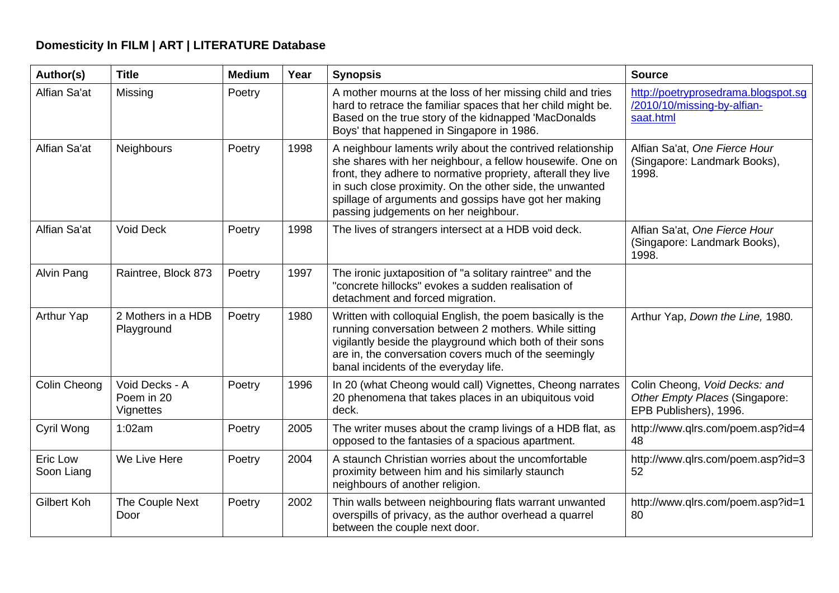## **Domesticity In FILM | ART | LITERATURE Database**

| Author(s)              | <b>Title</b>                              | <b>Medium</b> | Year | <b>Synopsis</b>                                                                                                                                                                                                                                                                                                                                       | <b>Source</b>                                                                             |
|------------------------|-------------------------------------------|---------------|------|-------------------------------------------------------------------------------------------------------------------------------------------------------------------------------------------------------------------------------------------------------------------------------------------------------------------------------------------------------|-------------------------------------------------------------------------------------------|
| Alfian Sa'at           | Missing                                   | Poetry        |      | A mother mourns at the loss of her missing child and tries<br>hard to retrace the familiar spaces that her child might be.<br>Based on the true story of the kidnapped 'MacDonalds<br>Boys' that happened in Singapore in 1986.                                                                                                                       | http://poetryprosedrama.blogspot.sg<br>/2010/10/missing-by-alfian-<br>saat.html           |
| Alfian Sa'at           | Neighbours                                | Poetry        | 1998 | A neighbour laments wrily about the contrived relationship<br>she shares with her neighbour, a fellow housewife. One on<br>front, they adhere to normative propriety, afterall they live<br>in such close proximity. On the other side, the unwanted<br>spillage of arguments and gossips have got her making<br>passing judgements on her neighbour. | Alfian Sa'at, One Fierce Hour<br>(Singapore: Landmark Books),<br>1998.                    |
| Alfian Sa'at           | <b>Void Deck</b>                          | Poetry        | 1998 | The lives of strangers intersect at a HDB void deck.                                                                                                                                                                                                                                                                                                  | Alfian Sa'at, One Fierce Hour<br>(Singapore: Landmark Books),<br>1998.                    |
| Alvin Pang             | Raintree, Block 873                       | Poetry        | 1997 | The ironic juxtaposition of "a solitary raintree" and the<br>"concrete hillocks" evokes a sudden realisation of<br>detachment and forced migration.                                                                                                                                                                                                   |                                                                                           |
| Arthur Yap             | 2 Mothers in a HDB<br>Playground          | Poetry        | 1980 | Written with colloquial English, the poem basically is the<br>running conversation between 2 mothers. While sitting<br>vigilantly beside the playground which both of their sons<br>are in, the conversation covers much of the seemingly<br>banal incidents of the everyday life.                                                                    | Arthur Yap, Down the Line, 1980.                                                          |
| Colin Cheong           | Void Decks - A<br>Poem in 20<br>Vignettes | Poetry        | 1996 | In 20 (what Cheong would call) Vignettes, Cheong narrates<br>20 phenomena that takes places in an ubiquitous void<br>deck.                                                                                                                                                                                                                            | Colin Cheong, Void Decks: and<br>Other Empty Places (Singapore:<br>EPB Publishers), 1996. |
| Cyril Wong             | 1:02am                                    | Poetry        | 2005 | The writer muses about the cramp livings of a HDB flat, as<br>opposed to the fantasies of a spacious apartment.                                                                                                                                                                                                                                       | http://www.qlrs.com/poem.asp?id=4<br>48                                                   |
| Eric Low<br>Soon Liang | We Live Here                              | Poetry        | 2004 | A staunch Christian worries about the uncomfortable<br>proximity between him and his similarly staunch<br>neighbours of another religion.                                                                                                                                                                                                             | http://www.qlrs.com/poem.asp?id=3<br>52                                                   |
| Gilbert Koh            | The Couple Next<br>Door                   | Poetry        | 2002 | Thin walls between neighbouring flats warrant unwanted<br>overspills of privacy, as the author overhead a quarrel<br>between the couple next door.                                                                                                                                                                                                    | http://www.qlrs.com/poem.asp?id=1<br>80                                                   |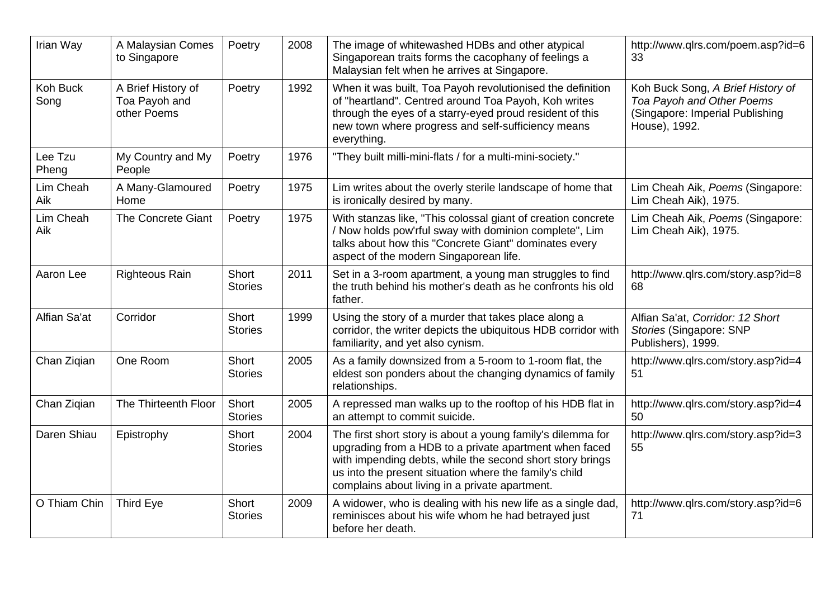| Irian Way        | A Malaysian Comes<br>to Singapore                  | Poetry                  | 2008 | The image of whitewashed HDBs and other atypical<br>Singaporean traits forms the cacophany of feelings a<br>Malaysian felt when he arrives at Singapore.                                                                                                                                       | http://www.qlrs.com/poem.asp?id=6<br>33                                                                            |
|------------------|----------------------------------------------------|-------------------------|------|------------------------------------------------------------------------------------------------------------------------------------------------------------------------------------------------------------------------------------------------------------------------------------------------|--------------------------------------------------------------------------------------------------------------------|
| Koh Buck<br>Song | A Brief History of<br>Toa Payoh and<br>other Poems | Poetry                  | 1992 | When it was built, Toa Payoh revolutionised the definition<br>of "heartland". Centred around Toa Payoh, Koh writes<br>through the eyes of a starry-eyed proud resident of this<br>new town where progress and self-sufficiency means<br>everything.                                            | Koh Buck Song, A Brief History of<br>Toa Payoh and Other Poems<br>(Singapore: Imperial Publishing<br>House), 1992. |
| Lee Tzu<br>Pheng | My Country and My<br>People                        | Poetry                  | 1976 | "They built milli-mini-flats / for a multi-mini-society."                                                                                                                                                                                                                                      |                                                                                                                    |
| Lim Cheah<br>Aik | A Many-Glamoured<br>Home                           | Poetry                  | 1975 | Lim writes about the overly sterile landscape of home that<br>is ironically desired by many.                                                                                                                                                                                                   | Lim Cheah Aik, Poems (Singapore:<br>Lim Cheah Aik), 1975.                                                          |
| Lim Cheah<br>Aik | <b>The Concrete Giant</b>                          | Poetry                  | 1975 | With stanzas like, "This colossal giant of creation concrete<br>/ Now holds pow'rful sway with dominion complete", Lim<br>talks about how this "Concrete Giant" dominates every<br>aspect of the modern Singaporean life.                                                                      | Lim Cheah Aik, Poems (Singapore:<br>Lim Cheah Aik), 1975.                                                          |
| Aaron Lee        | <b>Righteous Rain</b>                              | Short<br><b>Stories</b> | 2011 | Set in a 3-room apartment, a young man struggles to find<br>the truth behind his mother's death as he confronts his old<br>father.                                                                                                                                                             | http://www.qlrs.com/story.asp?id=8<br>68                                                                           |
| Alfian Sa'at     | Corridor                                           | Short<br><b>Stories</b> | 1999 | Using the story of a murder that takes place along a<br>corridor, the writer depicts the ubiquitous HDB corridor with<br>familiarity, and yet also cynism.                                                                                                                                     | Alfian Sa'at, Corridor: 12 Short<br>Stories (Singapore: SNP<br>Publishers), 1999.                                  |
| Chan Ziqian      | One Room                                           | Short<br><b>Stories</b> | 2005 | As a family downsized from a 5-room to 1-room flat, the<br>eldest son ponders about the changing dynamics of family<br>relationships.                                                                                                                                                          | http://www.qlrs.com/story.asp?id=4<br>51                                                                           |
| Chan Ziqian      | The Thirteenth Floor                               | Short<br><b>Stories</b> | 2005 | A repressed man walks up to the rooftop of his HDB flat in<br>an attempt to commit suicide.                                                                                                                                                                                                    | http://www.qlrs.com/story.asp?id=4<br>50                                                                           |
| Daren Shiau      | Epistrophy                                         | Short<br><b>Stories</b> | 2004 | The first short story is about a young family's dilemma for<br>upgrading from a HDB to a private apartment when faced<br>with impending debts, while the second short story brings<br>us into the present situation where the family's child<br>complains about living in a private apartment. | http://www.qlrs.com/story.asp?id=3<br>55                                                                           |
| O Thiam Chin     | <b>Third Eye</b>                                   | Short<br><b>Stories</b> | 2009 | A widower, who is dealing with his new life as a single dad,<br>reminisces about his wife whom he had betrayed just<br>before her death.                                                                                                                                                       | http://www.qlrs.com/story.asp?id=6<br>71                                                                           |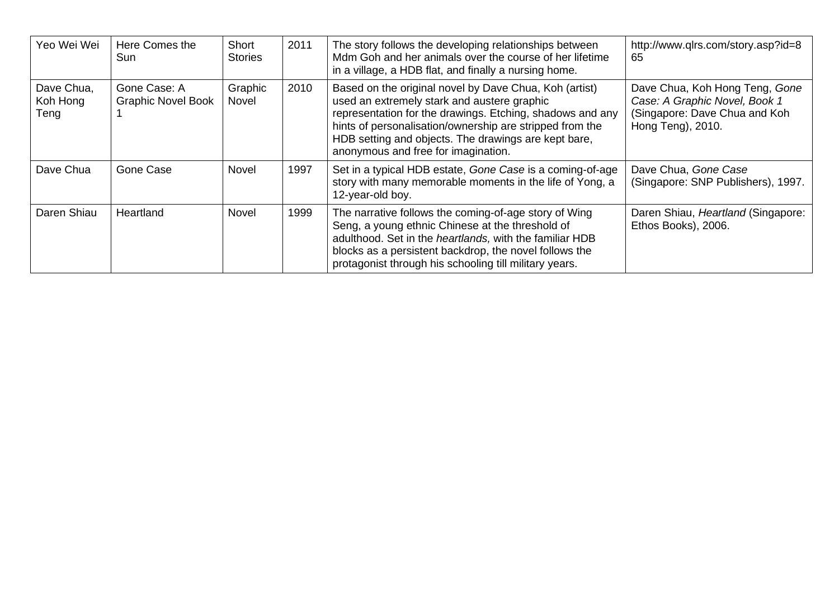| Yeo Wei Wei                    | Here Comes the<br>Sun                     | Short<br><b>Stories</b> | 2011 | The story follows the developing relationships between<br>Mdm Goh and her animals over the course of her lifetime<br>in a village, a HDB flat, and finally a nursing home.                                                                                                                                                    | http://www.qlrs.com/story.asp?id=8<br>65                                                                              |
|--------------------------------|-------------------------------------------|-------------------------|------|-------------------------------------------------------------------------------------------------------------------------------------------------------------------------------------------------------------------------------------------------------------------------------------------------------------------------------|-----------------------------------------------------------------------------------------------------------------------|
| Dave Chua,<br>Koh Hong<br>Teng | Gone Case: A<br><b>Graphic Novel Book</b> | Graphic<br>Novel        | 2010 | Based on the original novel by Dave Chua, Koh (artist)<br>used an extremely stark and austere graphic<br>representation for the drawings. Etching, shadows and any<br>hints of personalisation/ownership are stripped from the<br>HDB setting and objects. The drawings are kept bare,<br>anonymous and free for imagination. | Dave Chua, Koh Hong Teng, Gone<br>Case: A Graphic Novel, Book 1<br>(Singapore: Dave Chua and Koh<br>Hong Teng), 2010. |
| Dave Chua                      | Gone Case                                 | Novel                   | 1997 | Set in a typical HDB estate, Gone Case is a coming-of-age<br>story with many memorable moments in the life of Yong, a<br>12-year-old boy.                                                                                                                                                                                     | Dave Chua, Gone Case<br>(Singapore: SNP Publishers), 1997.                                                            |
| Daren Shiau                    | Heartland                                 | <b>Novel</b>            | 1999 | The narrative follows the coming-of-age story of Wing<br>Seng, a young ethnic Chinese at the threshold of<br>adulthood. Set in the heartlands, with the familiar HDB<br>blocks as a persistent backdrop, the novel follows the<br>protagonist through his schooling till military years.                                      | Daren Shiau, Heartland (Singapore:<br>Ethos Books), 2006.                                                             |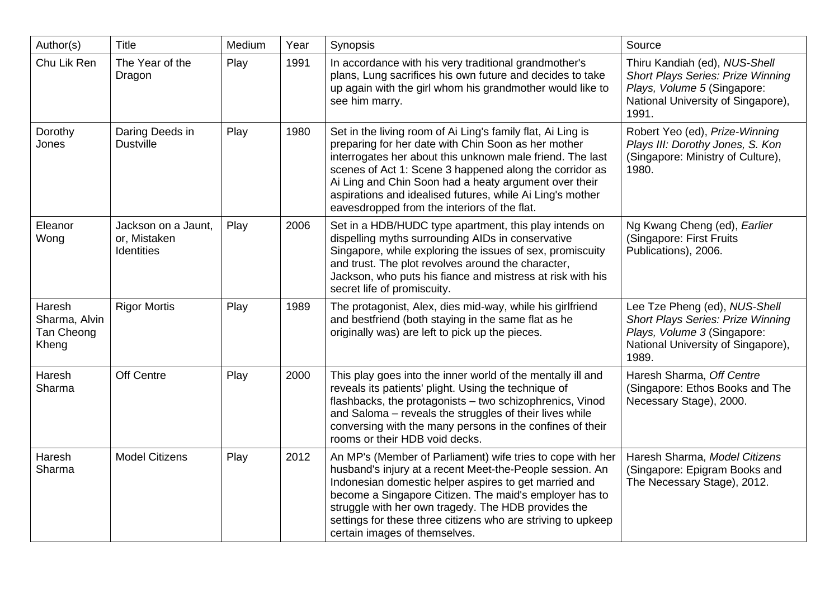| Author(s)                                      | Title                                             | Medium | Year | Synopsis                                                                                                                                                                                                                                                                                                                                                                                                         | Source                                                                                                                                                  |
|------------------------------------------------|---------------------------------------------------|--------|------|------------------------------------------------------------------------------------------------------------------------------------------------------------------------------------------------------------------------------------------------------------------------------------------------------------------------------------------------------------------------------------------------------------------|---------------------------------------------------------------------------------------------------------------------------------------------------------|
| Chu Lik Ren                                    | The Year of the<br>Dragon                         | Play   | 1991 | In accordance with his very traditional grandmother's<br>plans, Lung sacrifices his own future and decides to take<br>up again with the girl whom his grandmother would like to<br>see him marry.                                                                                                                                                                                                                | Thiru Kandiah (ed), NUS-Shell<br><b>Short Plays Series: Prize Winning</b><br>Plays, Volume 5 (Singapore:<br>National University of Singapore),<br>1991. |
| Dorothy<br>Jones                               | Daring Deeds in<br><b>Dustville</b>               | Play   | 1980 | Set in the living room of Ai Ling's family flat, Ai Ling is<br>preparing for her date with Chin Soon as her mother<br>interrogates her about this unknown male friend. The last<br>scenes of Act 1: Scene 3 happened along the corridor as<br>Ai Ling and Chin Soon had a heaty argument over their<br>aspirations and idealised futures, while Ai Ling's mother<br>eavesdropped from the interiors of the flat. | Robert Yeo (ed), Prize-Winning<br>Plays III: Dorothy Jones, S. Kon<br>(Singapore: Ministry of Culture),<br>1980.                                        |
| Eleanor<br>Wong                                | Jackson on a Jaunt,<br>or, Mistaken<br>Identities | Play   | 2006 | Set in a HDB/HUDC type apartment, this play intends on<br>dispelling myths surrounding AIDs in conservative<br>Singapore, while exploring the issues of sex, promiscuity<br>and trust. The plot revolves around the character,<br>Jackson, who puts his fiance and mistress at risk with his<br>secret life of promiscuity.                                                                                      | Ng Kwang Cheng (ed), Earlier<br>(Singapore: First Fruits<br>Publications), 2006.                                                                        |
| Haresh<br>Sharma, Alvin<br>Tan Cheong<br>Kheng | <b>Rigor Mortis</b>                               | Play   | 1989 | The protagonist, Alex, dies mid-way, while his girlfriend<br>and bestfriend (both staying in the same flat as he<br>originally was) are left to pick up the pieces.                                                                                                                                                                                                                                              | Lee Tze Pheng (ed), NUS-Shell<br><b>Short Plays Series: Prize Winning</b><br>Plays, Volume 3 (Singapore:<br>National University of Singapore),<br>1989. |
| Haresh<br>Sharma                               | Off Centre                                        | Play   | 2000 | This play goes into the inner world of the mentally ill and<br>reveals its patients' plight. Using the technique of<br>flashbacks, the protagonists - two schizophrenics, Vinod<br>and Saloma - reveals the struggles of their lives while<br>conversing with the many persons in the confines of their<br>rooms or their HDB void decks.                                                                        | Haresh Sharma, Off Centre<br>(Singapore: Ethos Books and The<br>Necessary Stage), 2000.                                                                 |
| Haresh<br>Sharma                               | <b>Model Citizens</b>                             | Play   | 2012 | An MP's (Member of Parliament) wife tries to cope with her<br>husband's injury at a recent Meet-the-People session. An<br>Indonesian domestic helper aspires to get married and<br>become a Singapore Citizen. The maid's employer has to<br>struggle with her own tragedy. The HDB provides the<br>settings for these three citizens who are striving to upkeep<br>certain images of themselves.                | Haresh Sharma, Model Citizens<br>(Singapore: Epigram Books and<br>The Necessary Stage), 2012.                                                           |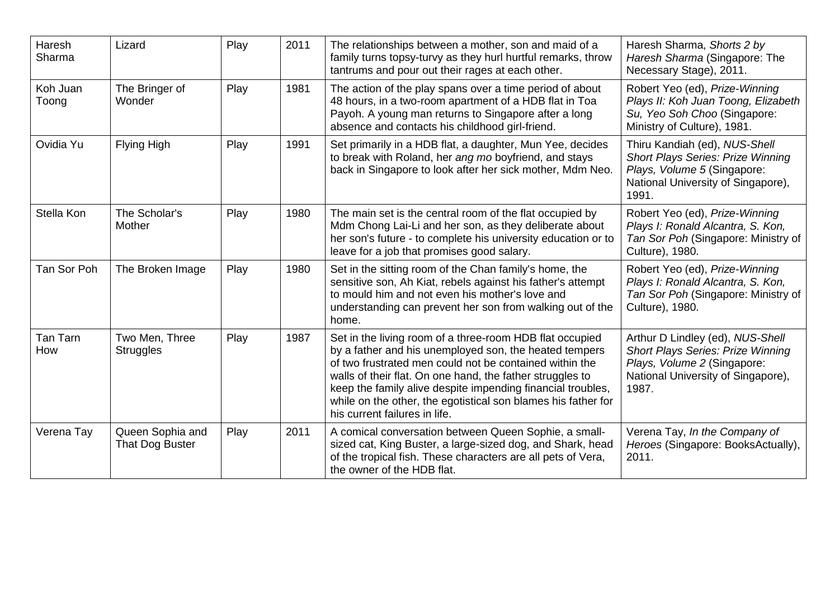| Haresh<br>Sharma  | Lizard                              | Play | 2011 | The relationships between a mother, son and maid of a<br>family turns topsy-turvy as they hurl hurtful remarks, throw<br>tantrums and pour out their rages at each other.                                                                                                                                                                                                                                   | Haresh Sharma, Shorts 2 by<br>Haresh Sharma (Singapore: The<br>Necessary Stage), 2011.                                                                     |
|-------------------|-------------------------------------|------|------|-------------------------------------------------------------------------------------------------------------------------------------------------------------------------------------------------------------------------------------------------------------------------------------------------------------------------------------------------------------------------------------------------------------|------------------------------------------------------------------------------------------------------------------------------------------------------------|
| Koh Juan<br>Toong | The Bringer of<br>Wonder            | Play | 1981 | The action of the play spans over a time period of about<br>48 hours, in a two-room apartment of a HDB flat in Toa<br>Payoh. A young man returns to Singapore after a long<br>absence and contacts his childhood girl-friend.                                                                                                                                                                               | Robert Yeo (ed), Prize-Winning<br>Plays II: Koh Juan Toong, Elizabeth<br>Su, Yeo Soh Choo (Singapore:<br>Ministry of Culture), 1981.                       |
| Ovidia Yu         | Flying High                         | Play | 1991 | Set primarily in a HDB flat, a daughter, Mun Yee, decides<br>to break with Roland, her ang mo boyfriend, and stays<br>back in Singapore to look after her sick mother, Mdm Neo.                                                                                                                                                                                                                             | Thiru Kandiah (ed), NUS-Shell<br><b>Short Plays Series: Prize Winning</b><br>Plays, Volume 5 (Singapore:<br>National University of Singapore),<br>1991.    |
| Stella Kon        | The Scholar's<br>Mother             | Play | 1980 | The main set is the central room of the flat occupied by<br>Mdm Chong Lai-Li and her son, as they deliberate about<br>her son's future - to complete his university education or to<br>leave for a job that promises good salary.                                                                                                                                                                           | Robert Yeo (ed), Prize-Winning<br>Plays I: Ronald Alcantra, S. Kon,<br>Tan Sor Poh (Singapore: Ministry of<br>Culture), 1980.                              |
| Tan Sor Poh       | The Broken Image                    | Play | 1980 | Set in the sitting room of the Chan family's home, the<br>sensitive son, Ah Kiat, rebels against his father's attempt<br>to mould him and not even his mother's love and<br>understanding can prevent her son from walking out of the<br>home.                                                                                                                                                              | Robert Yeo (ed), Prize-Winning<br>Plays I: Ronald Alcantra, S. Kon,<br>Tan Sor Poh (Singapore: Ministry of<br>Culture), 1980.                              |
| Tan Tarn<br>How   | Two Men, Three<br><b>Struggles</b>  | Play | 1987 | Set in the living room of a three-room HDB flat occupied<br>by a father and his unemployed son, the heated tempers<br>of two frustrated men could not be contained within the<br>walls of their flat. On one hand, the father struggles to<br>keep the family alive despite impending financial troubles,<br>while on the other, the egotistical son blames his father for<br>his current failures in life. | Arthur D Lindley (ed), NUS-Shell<br><b>Short Plays Series: Prize Winning</b><br>Plays, Volume 2 (Singapore:<br>National University of Singapore),<br>1987. |
| Verena Tay        | Queen Sophia and<br>That Dog Buster | Play | 2011 | A comical conversation between Queen Sophie, a small-<br>sized cat, King Buster, a large-sized dog, and Shark, head<br>of the tropical fish. These characters are all pets of Vera,<br>the owner of the HDB flat.                                                                                                                                                                                           | Verena Tay, In the Company of<br>Heroes (Singapore: BooksActually),<br>2011.                                                                               |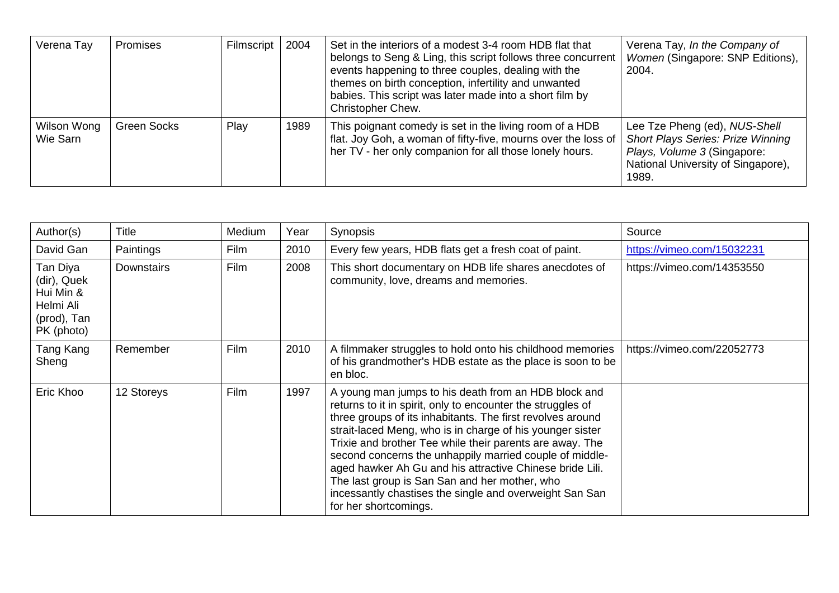| Verena Tay              | Promises    | Filmscript | 2004 | Set in the interiors of a modest 3-4 room HDB flat that<br>belongs to Seng & Ling, this script follows three concurrent<br>events happening to three couples, dealing with the<br>themes on birth conception, infertility and unwanted<br>babies. This script was later made into a short film by<br>Christopher Chew. | Verena Tay, In the Company of<br>Women (Singapore: SNP Editions),<br>2004.                                                                              |
|-------------------------|-------------|------------|------|------------------------------------------------------------------------------------------------------------------------------------------------------------------------------------------------------------------------------------------------------------------------------------------------------------------------|---------------------------------------------------------------------------------------------------------------------------------------------------------|
| Wilson Wong<br>Wie Sarn | Green Socks | Play       | 1989 | This poignant comedy is set in the living room of a HDB<br>flat. Joy Goh, a woman of fifty-five, mourns over the loss of<br>her TV - her only companion for all those lonely hours.                                                                                                                                    | Lee Tze Pheng (ed), NUS-Shell<br><b>Short Plays Series: Prize Winning</b><br>Plays, Volume 3 (Singapore:<br>National University of Singapore),<br>1989. |

| Author(s)                                                                      | <b>Title</b>      | Medium | Year | Synopsis                                                                                                                                                                                                                                                                                                                                                                                                                                                                                                                                                               | Source                     |
|--------------------------------------------------------------------------------|-------------------|--------|------|------------------------------------------------------------------------------------------------------------------------------------------------------------------------------------------------------------------------------------------------------------------------------------------------------------------------------------------------------------------------------------------------------------------------------------------------------------------------------------------------------------------------------------------------------------------------|----------------------------|
| David Gan                                                                      | Paintings         | Film   | 2010 | Every few years, HDB flats get a fresh coat of paint.                                                                                                                                                                                                                                                                                                                                                                                                                                                                                                                  | https://vimeo.com/15032231 |
| Tan Diya<br>(dir), Quek<br>Hui Min &<br>Helmi Ali<br>(prod), Tan<br>PK (photo) | <b>Downstairs</b> | Film   | 2008 | This short documentary on HDB life shares anecdotes of<br>community, love, dreams and memories.                                                                                                                                                                                                                                                                                                                                                                                                                                                                        | https://vimeo.com/14353550 |
| Tang Kang<br>Sheng                                                             | Remember          | Film   | 2010 | A filmmaker struggles to hold onto his childhood memories<br>of his grandmother's HDB estate as the place is soon to be<br>en bloc.                                                                                                                                                                                                                                                                                                                                                                                                                                    | https://vimeo.com/22052773 |
| Eric Khoo                                                                      | 12 Storeys        | Film   | 1997 | A young man jumps to his death from an HDB block and<br>returns to it in spirit, only to encounter the struggles of<br>three groups of its inhabitants. The first revolves around<br>strait-laced Meng, who is in charge of his younger sister<br>Trixie and brother Tee while their parents are away. The<br>second concerns the unhappily married couple of middle-<br>aged hawker Ah Gu and his attractive Chinese bride Lili.<br>The last group is San San and her mother, who<br>incessantly chastises the single and overweight San San<br>for her shortcomings. |                            |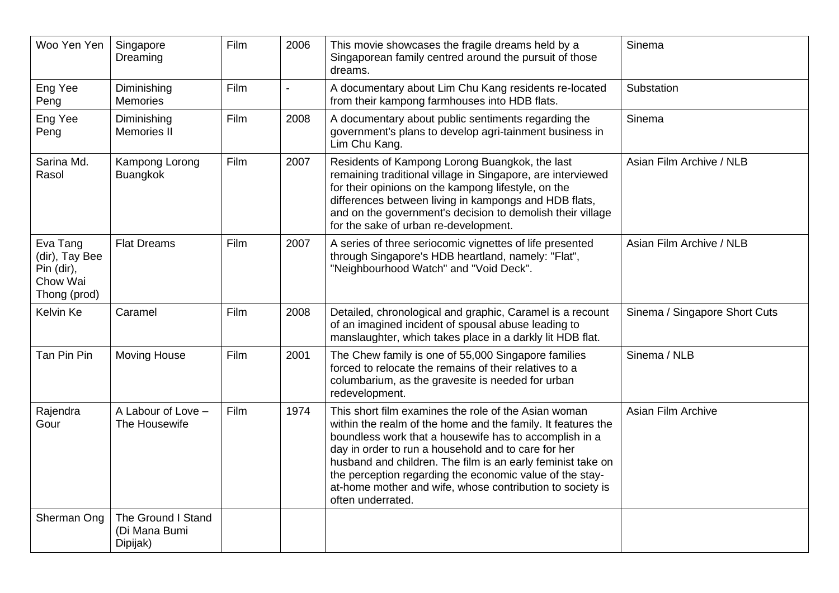| Woo Yen Yen                                                          | Singapore<br>Dreaming                           | Film | 2006           | This movie showcases the fragile dreams held by a<br>Singaporean family centred around the pursuit of those<br>dreams.                                                                                                                                                                                                                                                                                                                             | Sinema                        |
|----------------------------------------------------------------------|-------------------------------------------------|------|----------------|----------------------------------------------------------------------------------------------------------------------------------------------------------------------------------------------------------------------------------------------------------------------------------------------------------------------------------------------------------------------------------------------------------------------------------------------------|-------------------------------|
| Eng Yee<br>Peng                                                      | Diminishing<br><b>Memories</b>                  | Film | $\blacksquare$ | A documentary about Lim Chu Kang residents re-located<br>from their kampong farmhouses into HDB flats.                                                                                                                                                                                                                                                                                                                                             | Substation                    |
| Eng Yee<br>Peng                                                      | Diminishing<br><b>Memories II</b>               | Film | 2008           | A documentary about public sentiments regarding the<br>government's plans to develop agri-tainment business in<br>Lim Chu Kang.                                                                                                                                                                                                                                                                                                                    | Sinema                        |
| Sarina Md.<br>Rasol                                                  | Kampong Lorong<br><b>Buangkok</b>               | Film | 2007           | Residents of Kampong Lorong Buangkok, the last<br>remaining traditional village in Singapore, are interviewed<br>for their opinions on the kampong lifestyle, on the<br>differences between living in kampongs and HDB flats,<br>and on the government's decision to demolish their village<br>for the sake of urban re-development.                                                                                                               | Asian Film Archive / NLB      |
| Eva Tang<br>(dir), Tay Bee<br>Pin (dir),<br>Chow Wai<br>Thong (prod) | <b>Flat Dreams</b>                              | Film | 2007           | A series of three seriocomic vignettes of life presented<br>through Singapore's HDB heartland, namely: "Flat",<br>"Neighbourhood Watch" and "Void Deck".                                                                                                                                                                                                                                                                                           | Asian Film Archive / NLB      |
| Kelvin Ke                                                            | Caramel                                         | Film | 2008           | Detailed, chronological and graphic, Caramel is a recount<br>of an imagined incident of spousal abuse leading to<br>manslaughter, which takes place in a darkly lit HDB flat.                                                                                                                                                                                                                                                                      | Sinema / Singapore Short Cuts |
| Tan Pin Pin                                                          | <b>Moving House</b>                             | Film | 2001           | The Chew family is one of 55,000 Singapore families<br>forced to relocate the remains of their relatives to a<br>columbarium, as the gravesite is needed for urban<br>redevelopment.                                                                                                                                                                                                                                                               | Sinema / NLB                  |
| Rajendra<br>Gour                                                     | A Labour of Love -<br>The Housewife             | Film | 1974           | This short film examines the role of the Asian woman<br>within the realm of the home and the family. It features the<br>boundless work that a housewife has to accomplish in a<br>day in order to run a household and to care for her<br>husband and children. The film is an early feminist take on<br>the perception regarding the economic value of the stay-<br>at-home mother and wife, whose contribution to society is<br>often underrated. | Asian Film Archive            |
| Sherman Ong                                                          | The Ground I Stand<br>(Di Mana Bumi<br>Dipijak) |      |                |                                                                                                                                                                                                                                                                                                                                                                                                                                                    |                               |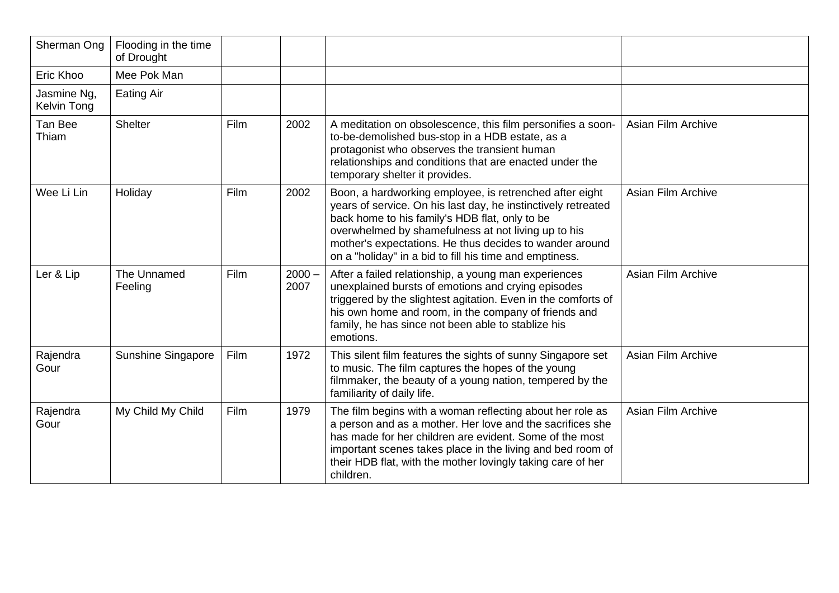| Sherman Ong                | Flooding in the time<br>of Drought |      |                  |                                                                                                                                                                                                                                                                                                                                                         |                           |
|----------------------------|------------------------------------|------|------------------|---------------------------------------------------------------------------------------------------------------------------------------------------------------------------------------------------------------------------------------------------------------------------------------------------------------------------------------------------------|---------------------------|
| Eric Khoo                  | Mee Pok Man                        |      |                  |                                                                                                                                                                                                                                                                                                                                                         |                           |
| Jasmine Ng,<br>Kelvin Tong | <b>Eating Air</b>                  |      |                  |                                                                                                                                                                                                                                                                                                                                                         |                           |
| Tan Bee<br>Thiam           | Shelter                            | Film | 2002             | A meditation on obsolescence, this film personifies a soon-<br>to-be-demolished bus-stop in a HDB estate, as a<br>protagonist who observes the transient human<br>relationships and conditions that are enacted under the<br>temporary shelter it provides.                                                                                             | Asian Film Archive        |
| Wee Li Lin                 | Holiday                            | Film | 2002             | Boon, a hardworking employee, is retrenched after eight<br>years of service. On his last day, he instinctively retreated<br>back home to his family's HDB flat, only to be<br>overwhelmed by shamefulness at not living up to his<br>mother's expectations. He thus decides to wander around<br>on a "holiday" in a bid to fill his time and emptiness. | Asian Film Archive        |
| Ler & Lip                  | The Unnamed<br>Feeling             | Film | $2000 -$<br>2007 | After a failed relationship, a young man experiences<br>unexplained bursts of emotions and crying episodes<br>triggered by the slightest agitation. Even in the comforts of<br>his own home and room, in the company of friends and<br>family, he has since not been able to stablize his<br>emotions.                                                  | Asian Film Archive        |
| Rajendra<br>Gour           | Sunshine Singapore                 | Film | 1972             | This silent film features the sights of sunny Singapore set<br>to music. The film captures the hopes of the young<br>filmmaker, the beauty of a young nation, tempered by the<br>familiarity of daily life.                                                                                                                                             | <b>Asian Film Archive</b> |
| Rajendra<br>Gour           | My Child My Child                  | Film | 1979             | The film begins with a woman reflecting about her role as<br>a person and as a mother. Her love and the sacrifices she<br>has made for her children are evident. Some of the most<br>important scenes takes place in the living and bed room of<br>their HDB flat, with the mother lovingly taking care of her<br>children.                             | Asian Film Archive        |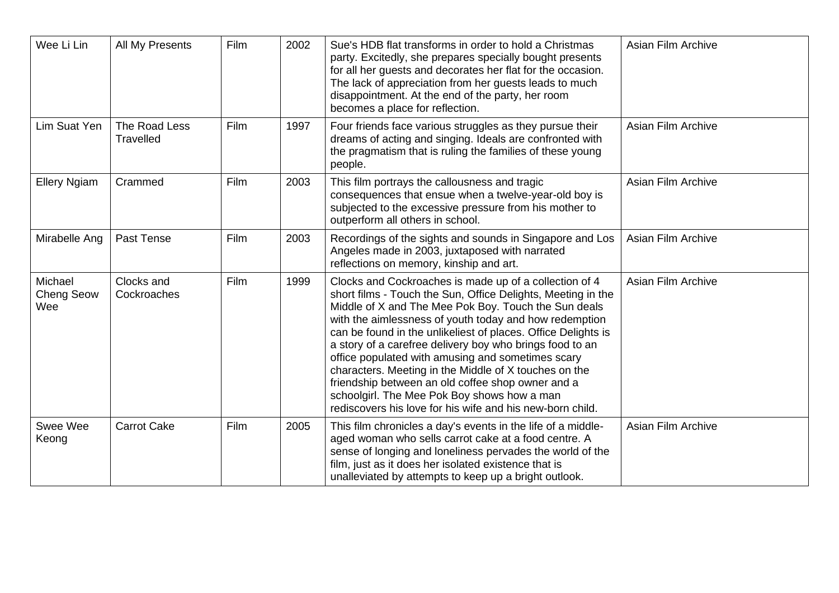| Wee Li Lin                          | All My Presents            | Film | 2002 | Sue's HDB flat transforms in order to hold a Christmas<br>party. Excitedly, she prepares specially bought presents<br>for all her guests and decorates her flat for the occasion.<br>The lack of appreciation from her guests leads to much<br>disappointment. At the end of the party, her room<br>becomes a place for reflection.                                                                                                                                                                                                                                                                                                                  | Asian Film Archive |
|-------------------------------------|----------------------------|------|------|------------------------------------------------------------------------------------------------------------------------------------------------------------------------------------------------------------------------------------------------------------------------------------------------------------------------------------------------------------------------------------------------------------------------------------------------------------------------------------------------------------------------------------------------------------------------------------------------------------------------------------------------------|--------------------|
| Lim Suat Yen                        | The Road Less<br>Travelled | Film | 1997 | Four friends face various struggles as they pursue their<br>dreams of acting and singing. Ideals are confronted with<br>the pragmatism that is ruling the families of these young<br>people.                                                                                                                                                                                                                                                                                                                                                                                                                                                         | Asian Film Archive |
| <b>Ellery Ngiam</b>                 | Crammed                    | Film | 2003 | This film portrays the callousness and tragic<br>consequences that ensue when a twelve-year-old boy is<br>subjected to the excessive pressure from his mother to<br>outperform all others in school.                                                                                                                                                                                                                                                                                                                                                                                                                                                 | Asian Film Archive |
| Mirabelle Ang                       | Past Tense                 | Film | 2003 | Recordings of the sights and sounds in Singapore and Los<br>Angeles made in 2003, juxtaposed with narrated<br>reflections on memory, kinship and art.                                                                                                                                                                                                                                                                                                                                                                                                                                                                                                | Asian Film Archive |
| Michael<br><b>Cheng Seow</b><br>Wee | Clocks and<br>Cockroaches  | Film | 1999 | Clocks and Cockroaches is made up of a collection of 4<br>short films - Touch the Sun, Office Delights, Meeting in the<br>Middle of X and The Mee Pok Boy. Touch the Sun deals<br>with the aimlessness of youth today and how redemption<br>can be found in the unlikeliest of places. Office Delights is<br>a story of a carefree delivery boy who brings food to an<br>office populated with amusing and sometimes scary<br>characters. Meeting in the Middle of X touches on the<br>friendship between an old coffee shop owner and a<br>schoolgirl. The Mee Pok Boy shows how a man<br>rediscovers his love for his wife and his new-born child. | Asian Film Archive |
| Swee Wee<br>Keong                   | <b>Carrot Cake</b>         | Film | 2005 | This film chronicles a day's events in the life of a middle-<br>aged woman who sells carrot cake at a food centre. A<br>sense of longing and loneliness pervades the world of the<br>film, just as it does her isolated existence that is<br>unalleviated by attempts to keep up a bright outlook.                                                                                                                                                                                                                                                                                                                                                   | Asian Film Archive |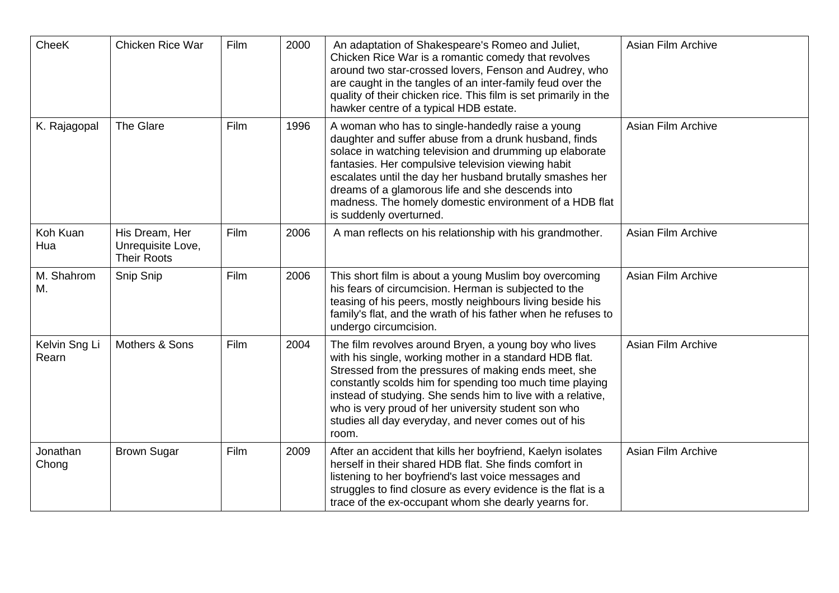| CheeK                  | Chicken Rice War                                          | Film | 2000 | An adaptation of Shakespeare's Romeo and Juliet,<br>Chicken Rice War is a romantic comedy that revolves<br>around two star-crossed lovers, Fenson and Audrey, who<br>are caught in the tangles of an inter-family feud over the<br>quality of their chicken rice. This film is set primarily in the<br>hawker centre of a typical HDB estate.                                                                                   | Asian Film Archive |
|------------------------|-----------------------------------------------------------|------|------|---------------------------------------------------------------------------------------------------------------------------------------------------------------------------------------------------------------------------------------------------------------------------------------------------------------------------------------------------------------------------------------------------------------------------------|--------------------|
| K. Rajagopal           | <b>The Glare</b>                                          | Film | 1996 | A woman who has to single-handedly raise a young<br>daughter and suffer abuse from a drunk husband, finds<br>solace in watching television and drumming up elaborate<br>fantasies. Her compulsive television viewing habit<br>escalates until the day her husband brutally smashes her<br>dreams of a glamorous life and she descends into<br>madness. The homely domestic environment of a HDB flat<br>is suddenly overturned. | Asian Film Archive |
| Koh Kuan<br>Hua        | His Dream, Her<br>Unrequisite Love,<br><b>Their Roots</b> | Film | 2006 | A man reflects on his relationship with his grandmother.                                                                                                                                                                                                                                                                                                                                                                        | Asian Film Archive |
| M. Shahrom<br>Μ.       | Snip Snip                                                 | Film | 2006 | This short film is about a young Muslim boy overcoming<br>his fears of circumcision. Herman is subjected to the<br>teasing of his peers, mostly neighbours living beside his<br>family's flat, and the wrath of his father when he refuses to<br>undergo circumcision.                                                                                                                                                          | Asian Film Archive |
| Kelvin Sng Li<br>Rearn | Mothers & Sons                                            | Film | 2004 | The film revolves around Bryen, a young boy who lives<br>with his single, working mother in a standard HDB flat.<br>Stressed from the pressures of making ends meet, she<br>constantly scolds him for spending too much time playing<br>instead of studying. She sends him to live with a relative,<br>who is very proud of her university student son who<br>studies all day everyday, and never comes out of his<br>room.     | Asian Film Archive |
| Jonathan<br>Chong      | <b>Brown Sugar</b>                                        | Film | 2009 | After an accident that kills her boyfriend, Kaelyn isolates<br>herself in their shared HDB flat. She finds comfort in<br>listening to her boyfriend's last voice messages and<br>struggles to find closure as every evidence is the flat is a<br>trace of the ex-occupant whom she dearly yearns for.                                                                                                                           | Asian Film Archive |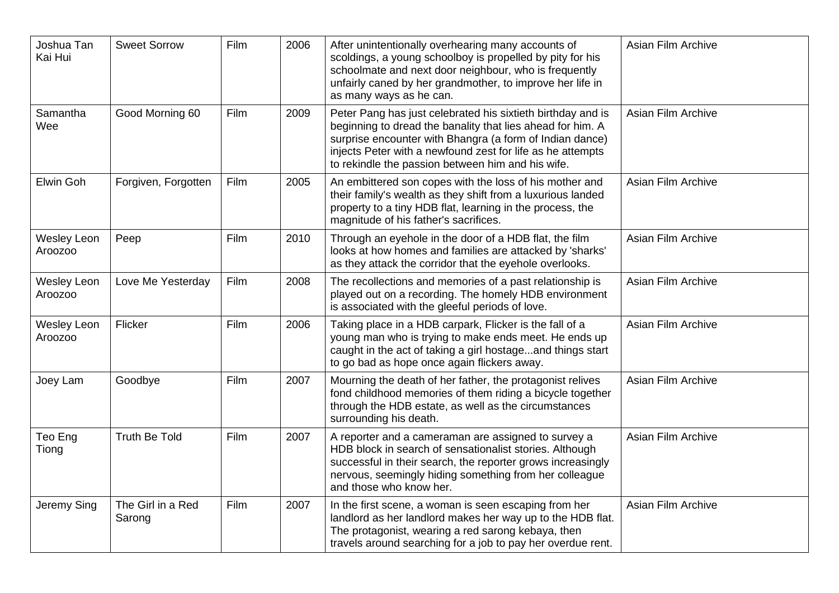| Joshua Tan<br>Kai Hui         | <b>Sweet Sorrow</b>         | Film | 2006 | After unintentionally overhearing many accounts of<br>scoldings, a young schoolboy is propelled by pity for his<br>schoolmate and next door neighbour, who is frequently<br>unfairly caned by her grandmother, to improve her life in<br>as many ways as he can.                                         | Asian Film Archive |
|-------------------------------|-----------------------------|------|------|----------------------------------------------------------------------------------------------------------------------------------------------------------------------------------------------------------------------------------------------------------------------------------------------------------|--------------------|
| Samantha<br>Wee               | Good Morning 60             | Film | 2009 | Peter Pang has just celebrated his sixtieth birthday and is<br>beginning to dread the banality that lies ahead for him. A<br>surprise encounter with Bhangra (a form of Indian dance)<br>injects Peter with a newfound zest for life as he attempts<br>to rekindle the passion between him and his wife. | Asian Film Archive |
| Elwin Goh                     | Forgiven, Forgotten         | Film | 2005 | An embittered son copes with the loss of his mother and<br>their family's wealth as they shift from a luxurious landed<br>property to a tiny HDB flat, learning in the process, the<br>magnitude of his father's sacrifices.                                                                             | Asian Film Archive |
| <b>Wesley Leon</b><br>Aroozoo | Peep                        | Film | 2010 | Through an eyehole in the door of a HDB flat, the film<br>looks at how homes and families are attacked by 'sharks'<br>as they attack the corridor that the eyehole overlooks.                                                                                                                            | Asian Film Archive |
| <b>Wesley Leon</b><br>Aroozoo | Love Me Yesterday           | Film | 2008 | The recollections and memories of a past relationship is<br>played out on a recording. The homely HDB environment<br>is associated with the gleeful periods of love.                                                                                                                                     | Asian Film Archive |
| <b>Wesley Leon</b><br>Aroozoo | Flicker                     | Film | 2006 | Taking place in a HDB carpark, Flicker is the fall of a<br>young man who is trying to make ends meet. He ends up<br>caught in the act of taking a girl hostageand things start<br>to go bad as hope once again flickers away.                                                                            | Asian Film Archive |
| Joey Lam                      | Goodbye                     | Film | 2007 | Mourning the death of her father, the protagonist relives<br>fond childhood memories of them riding a bicycle together<br>through the HDB estate, as well as the circumstances<br>surrounding his death.                                                                                                 | Asian Film Archive |
| Teo Eng<br>Tiong              | <b>Truth Be Told</b>        | Film | 2007 | A reporter and a cameraman are assigned to survey a<br>HDB block in search of sensationalist stories. Although<br>successful in their search, the reporter grows increasingly<br>nervous, seemingly hiding something from her colleague<br>and those who know her.                                       | Asian Film Archive |
| Jeremy Sing                   | The Girl in a Red<br>Sarong | Film | 2007 | In the first scene, a woman is seen escaping from her<br>landlord as her landlord makes her way up to the HDB flat.<br>The protagonist, wearing a red sarong kebaya, then<br>travels around searching for a job to pay her overdue rent.                                                                 | Asian Film Archive |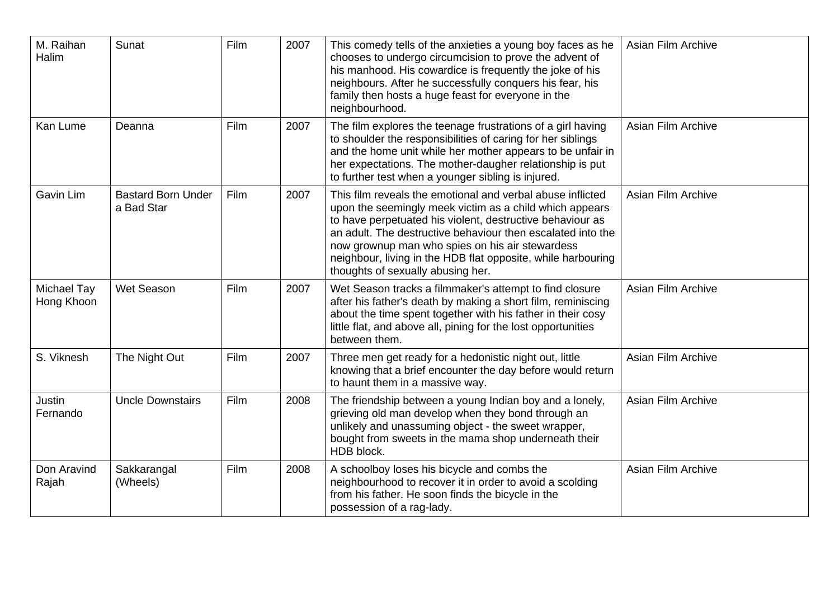| M. Raihan<br>Halim        | Sunat                                   | Film | 2007 | This comedy tells of the anxieties a young boy faces as he<br>chooses to undergo circumcision to prove the advent of<br>his manhood. His cowardice is frequently the joke of his<br>neighbours. After he successfully conquers his fear, his<br>family then hosts a huge feast for everyone in the<br>neighbourhood.                                                                                      | Asian Film Archive |
|---------------------------|-----------------------------------------|------|------|-----------------------------------------------------------------------------------------------------------------------------------------------------------------------------------------------------------------------------------------------------------------------------------------------------------------------------------------------------------------------------------------------------------|--------------------|
| Kan Lume                  | Deanna                                  | Film | 2007 | The film explores the teenage frustrations of a girl having<br>to shoulder the responsibilities of caring for her siblings<br>and the home unit while her mother appears to be unfair in<br>her expectations. The mother-daugher relationship is put<br>to further test when a younger sibling is injured.                                                                                                | Asian Film Archive |
| Gavin Lim                 | <b>Bastard Born Under</b><br>a Bad Star | Film | 2007 | This film reveals the emotional and verbal abuse inflicted<br>upon the seemingly meek victim as a child which appears<br>to have perpetuated his violent, destructive behaviour as<br>an adult. The destructive behaviour then escalated into the<br>now grownup man who spies on his air stewardess<br>neighbour, living in the HDB flat opposite, while harbouring<br>thoughts of sexually abusing her. | Asian Film Archive |
| Michael Tay<br>Hong Khoon | Wet Season                              | Film | 2007 | Wet Season tracks a filmmaker's attempt to find closure<br>after his father's death by making a short film, reminiscing<br>about the time spent together with his father in their cosy<br>little flat, and above all, pining for the lost opportunities<br>between them.                                                                                                                                  | Asian Film Archive |
| S. Viknesh                | The Night Out                           | Film | 2007 | Three men get ready for a hedonistic night out, little<br>knowing that a brief encounter the day before would return<br>to haunt them in a massive way.                                                                                                                                                                                                                                                   | Asian Film Archive |
| Justin<br>Fernando        | <b>Uncle Downstairs</b>                 | Film | 2008 | The friendship between a young Indian boy and a lonely,<br>grieving old man develop when they bond through an<br>unlikely and unassuming object - the sweet wrapper,<br>bought from sweets in the mama shop underneath their<br>HDB block.                                                                                                                                                                | Asian Film Archive |
| Don Aravind<br>Rajah      | Sakkarangal<br>(Wheels)                 | Film | 2008 | A schoolboy loses his bicycle and combs the<br>neighbourhood to recover it in order to avoid a scolding<br>from his father. He soon finds the bicycle in the<br>possession of a rag-lady.                                                                                                                                                                                                                 | Asian Film Archive |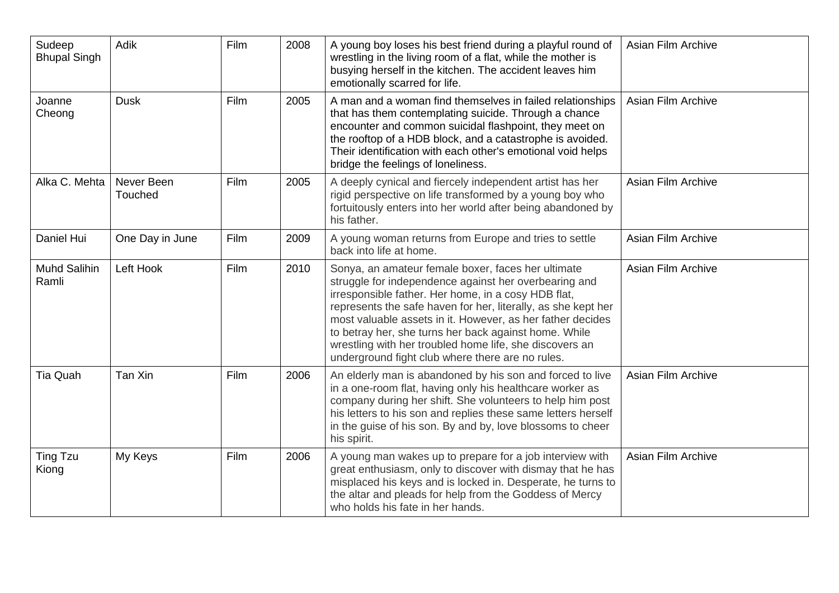| Sudeep<br><b>Bhupal Singh</b> | Adik                  | Film | 2008 | A young boy loses his best friend during a playful round of<br>wrestling in the living room of a flat, while the mother is<br>busying herself in the kitchen. The accident leaves him<br>emotionally scarred for life.                                                                                                                                                                                                                                                    | Asian Film Archive        |
|-------------------------------|-----------------------|------|------|---------------------------------------------------------------------------------------------------------------------------------------------------------------------------------------------------------------------------------------------------------------------------------------------------------------------------------------------------------------------------------------------------------------------------------------------------------------------------|---------------------------|
| Joanne<br>Cheong              | <b>Dusk</b>           | Film | 2005 | A man and a woman find themselves in failed relationships<br>that has them contemplating suicide. Through a chance<br>encounter and common suicidal flashpoint, they meet on<br>the rooftop of a HDB block, and a catastrophe is avoided.<br>Their identification with each other's emotional void helps<br>bridge the feelings of loneliness.                                                                                                                            | <b>Asian Film Archive</b> |
| Alka C. Mehta                 | Never Been<br>Touched | Film | 2005 | A deeply cynical and fiercely independent artist has her<br>rigid perspective on life transformed by a young boy who<br>fortuitously enters into her world after being abandoned by<br>his father.                                                                                                                                                                                                                                                                        | <b>Asian Film Archive</b> |
| Daniel Hui                    | One Day in June       | Film | 2009 | A young woman returns from Europe and tries to settle<br>back into life at home.                                                                                                                                                                                                                                                                                                                                                                                          | <b>Asian Film Archive</b> |
| <b>Muhd Salihin</b><br>Ramli  | Left Hook             | Film | 2010 | Sonya, an amateur female boxer, faces her ultimate<br>struggle for independence against her overbearing and<br>irresponsible father. Her home, in a cosy HDB flat,<br>represents the safe haven for her, literally, as she kept her<br>most valuable assets in it. However, as her father decides<br>to betray her, she turns her back against home. While<br>wrestling with her troubled home life, she discovers an<br>underground fight club where there are no rules. | <b>Asian Film Archive</b> |
| Tia Quah                      | Tan Xin               | Film | 2006 | An elderly man is abandoned by his son and forced to live<br>in a one-room flat, having only his healthcare worker as<br>company during her shift. She volunteers to help him post<br>his letters to his son and replies these same letters herself<br>in the guise of his son. By and by, love blossoms to cheer<br>his spirit.                                                                                                                                          | Asian Film Archive        |
| <b>Ting Tzu</b><br>Kiong      | My Keys               | Film | 2006 | A young man wakes up to prepare for a job interview with<br>great enthusiasm, only to discover with dismay that he has<br>misplaced his keys and is locked in. Desperate, he turns to<br>the altar and pleads for help from the Goddess of Mercy<br>who holds his fate in her hands.                                                                                                                                                                                      | <b>Asian Film Archive</b> |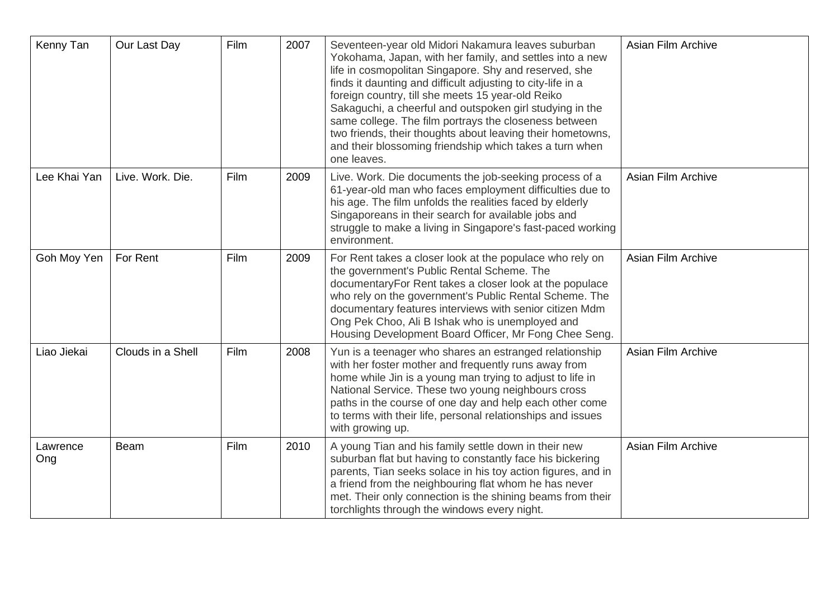| Kenny Tan       | Our Last Day      | Film | 2007 | Seventeen-year old Midori Nakamura leaves suburban<br>Yokohama, Japan, with her family, and settles into a new<br>life in cosmopolitan Singapore. Shy and reserved, she<br>finds it daunting and difficult adjusting to city-life in a<br>foreign country, till she meets 15 year-old Reiko<br>Sakaguchi, a cheerful and outspoken girl studying in the<br>same college. The film portrays the closeness between<br>two friends, their thoughts about leaving their hometowns,<br>and their blossoming friendship which takes a turn when<br>one leaves. | Asian Film Archive |
|-----------------|-------------------|------|------|----------------------------------------------------------------------------------------------------------------------------------------------------------------------------------------------------------------------------------------------------------------------------------------------------------------------------------------------------------------------------------------------------------------------------------------------------------------------------------------------------------------------------------------------------------|--------------------|
| Lee Khai Yan    | Live. Work. Die.  | Film | 2009 | Live. Work. Die documents the job-seeking process of a<br>61-year-old man who faces employment difficulties due to<br>his age. The film unfolds the realities faced by elderly<br>Singaporeans in their search for available jobs and<br>struggle to make a living in Singapore's fast-paced working<br>environment.                                                                                                                                                                                                                                     | Asian Film Archive |
| Goh Moy Yen     | For Rent          | Film | 2009 | For Rent takes a closer look at the populace who rely on<br>the government's Public Rental Scheme. The<br>documentaryFor Rent takes a closer look at the populace<br>who rely on the government's Public Rental Scheme. The<br>documentary features interviews with senior citizen Mdm<br>Ong Pek Choo, Ali B Ishak who is unemployed and<br>Housing Development Board Officer, Mr Fong Chee Seng.                                                                                                                                                       | Asian Film Archive |
| Liao Jiekai     | Clouds in a Shell | Film | 2008 | Yun is a teenager who shares an estranged relationship<br>with her foster mother and frequently runs away from<br>home while Jin is a young man trying to adjust to life in<br>National Service. These two young neighbours cross<br>paths in the course of one day and help each other come<br>to terms with their life, personal relationships and issues<br>with growing up.                                                                                                                                                                          | Asian Film Archive |
| Lawrence<br>Ong | <b>Beam</b>       | Film | 2010 | A young Tian and his family settle down in their new<br>suburban flat but having to constantly face his bickering<br>parents, Tian seeks solace in his toy action figures, and in<br>a friend from the neighbouring flat whom he has never<br>met. Their only connection is the shining beams from their<br>torchlights through the windows every night.                                                                                                                                                                                                 | Asian Film Archive |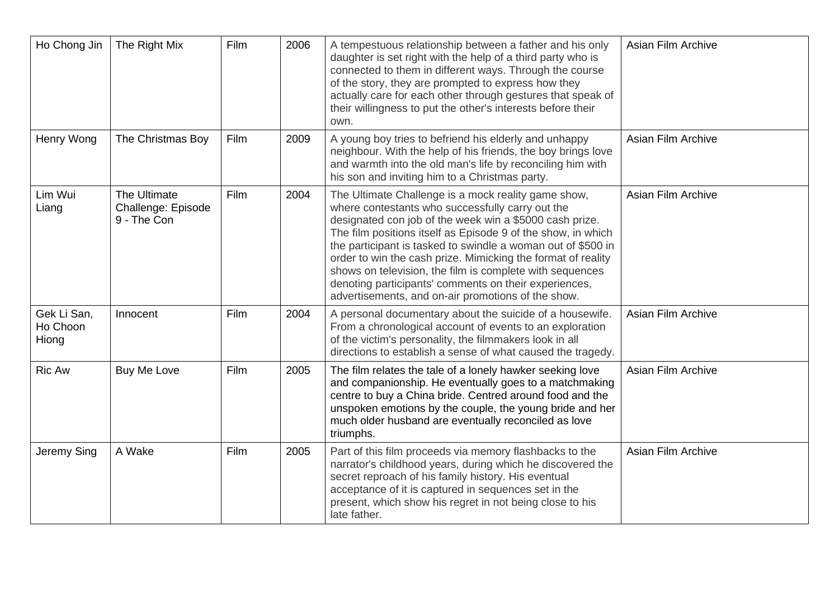| Ho Chong Jin                     | The Right Mix                                     | Film | 2006 | A tempestuous relationship between a father and his only<br>daughter is set right with the help of a third party who is<br>connected to them in different ways. Through the course<br>of the story, they are prompted to express how they<br>actually care for each other through gestures that speak of<br>their willingness to put the other's interests before their<br>own.                                                                                                                                                               | Asian Film Archive |
|----------------------------------|---------------------------------------------------|------|------|-----------------------------------------------------------------------------------------------------------------------------------------------------------------------------------------------------------------------------------------------------------------------------------------------------------------------------------------------------------------------------------------------------------------------------------------------------------------------------------------------------------------------------------------------|--------------------|
| Henry Wong                       | The Christmas Boy                                 | Film | 2009 | A young boy tries to befriend his elderly and unhappy<br>neighbour. With the help of his friends, the boy brings love<br>and warmth into the old man's life by reconciling him with<br>his son and inviting him to a Christmas party.                                                                                                                                                                                                                                                                                                         | Asian Film Archive |
| Lim Wui<br>Liang                 | The Ultimate<br>Challenge: Episode<br>9 - The Con | Film | 2004 | The Ultimate Challenge is a mock reality game show,<br>where contestants who successfully carry out the<br>designated con job of the week win a \$5000 cash prize.<br>The film positions itself as Episode 9 of the show, in which<br>the participant is tasked to swindle a woman out of \$500 in<br>order to win the cash prize. Mimicking the format of reality<br>shows on television, the film is complete with sequences<br>denoting participants' comments on their experiences,<br>advertisements, and on-air promotions of the show. | Asian Film Archive |
| Gek Li San,<br>Ho Choon<br>Hiong | Innocent                                          | Film | 2004 | A personal documentary about the suicide of a housewife.<br>From a chronological account of events to an exploration<br>of the victim's personality, the filmmakers look in all<br>directions to establish a sense of what caused the tragedy.                                                                                                                                                                                                                                                                                                | Asian Film Archive |
| <b>Ric Aw</b>                    | Buy Me Love                                       | Film | 2005 | The film relates the tale of a lonely hawker seeking love<br>and companionship. He eventually goes to a matchmaking<br>centre to buy a China bride. Centred around food and the<br>unspoken emotions by the couple, the young bride and her<br>much older husband are eventually reconciled as love<br>triumphs.                                                                                                                                                                                                                              | Asian Film Archive |
| Jeremy Sing                      | A Wake                                            | Film | 2005 | Part of this film proceeds via memory flashbacks to the<br>narrator's childhood years, during which he discovered the<br>secret reproach of his family history. His eventual<br>acceptance of it is captured in sequences set in the<br>present, which show his regret in not being close to his<br>late father.                                                                                                                                                                                                                              | Asian Film Archive |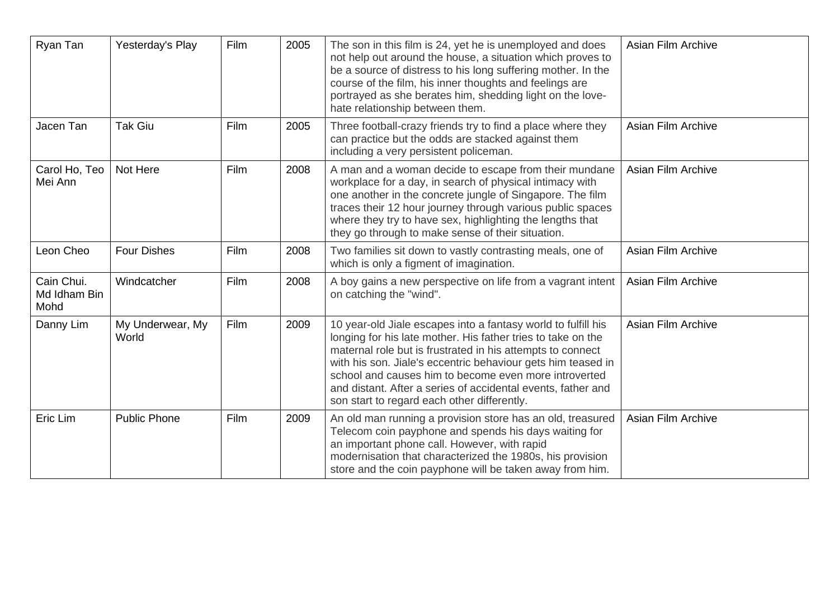| Ryan Tan                           | Yesterday's Play          | Film | 2005 | The son in this film is 24, yet he is unemployed and does<br>not help out around the house, a situation which proves to<br>be a source of distress to his long suffering mother. In the<br>course of the film, his inner thoughts and feelings are<br>portrayed as she berates him, shedding light on the love-<br>hate relationship between them.                                                                                  | Asian Film Archive |
|------------------------------------|---------------------------|------|------|-------------------------------------------------------------------------------------------------------------------------------------------------------------------------------------------------------------------------------------------------------------------------------------------------------------------------------------------------------------------------------------------------------------------------------------|--------------------|
| Jacen Tan                          | <b>Tak Giu</b>            | Film | 2005 | Three football-crazy friends try to find a place where they<br>can practice but the odds are stacked against them<br>including a very persistent policeman.                                                                                                                                                                                                                                                                         | Asian Film Archive |
| Carol Ho, Teo<br>Mei Ann           | Not Here                  | Film | 2008 | A man and a woman decide to escape from their mundane<br>workplace for a day, in search of physical intimacy with<br>one another in the concrete jungle of Singapore. The film<br>traces their 12 hour journey through various public spaces<br>where they try to have sex, highlighting the lengths that<br>they go through to make sense of their situation.                                                                      | Asian Film Archive |
| Leon Cheo                          | <b>Four Dishes</b>        | Film | 2008 | Two families sit down to vastly contrasting meals, one of<br>which is only a figment of imagination.                                                                                                                                                                                                                                                                                                                                | Asian Film Archive |
| Cain Chui.<br>Md Idham Bin<br>Mohd | Windcatcher               | Film | 2008 | A boy gains a new perspective on life from a vagrant intent<br>on catching the "wind".                                                                                                                                                                                                                                                                                                                                              | Asian Film Archive |
| Danny Lim                          | My Underwear, My<br>World | Film | 2009 | 10 year-old Jiale escapes into a fantasy world to fulfill his<br>longing for his late mother. His father tries to take on the<br>maternal role but is frustrated in his attempts to connect<br>with his son. Jiale's eccentric behaviour gets him teased in<br>school and causes him to become even more introverted<br>and distant. After a series of accidental events, father and<br>son start to regard each other differently. | Asian Film Archive |
| Eric Lim                           | <b>Public Phone</b>       | Film | 2009 | An old man running a provision store has an old, treasured<br>Telecom coin payphone and spends his days waiting for<br>an important phone call. However, with rapid<br>modernisation that characterized the 1980s, his provision<br>store and the coin payphone will be taken away from him.                                                                                                                                        | Asian Film Archive |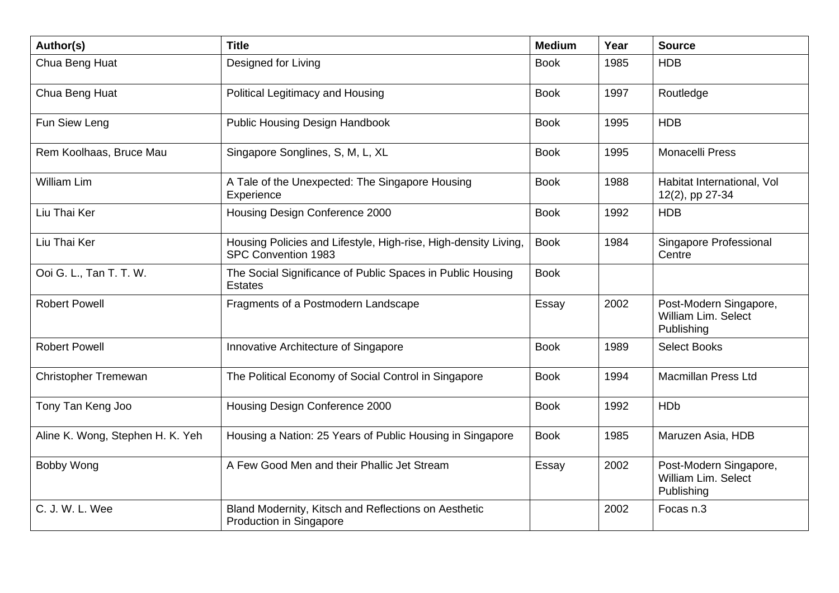| Author(s)                        | <b>Title</b>                                                                           | <b>Medium</b> | Year | <b>Source</b>                                               |
|----------------------------------|----------------------------------------------------------------------------------------|---------------|------|-------------------------------------------------------------|
| Chua Beng Huat                   | Designed for Living                                                                    | <b>Book</b>   | 1985 | <b>HDB</b>                                                  |
| Chua Beng Huat                   | Political Legitimacy and Housing                                                       | <b>Book</b>   | 1997 | Routledge                                                   |
| Fun Siew Leng                    | <b>Public Housing Design Handbook</b>                                                  | <b>Book</b>   | 1995 | <b>HDB</b>                                                  |
| Rem Koolhaas, Bruce Mau          | Singapore Songlines, S, M, L, XL                                                       | <b>Book</b>   | 1995 | <b>Monacelli Press</b>                                      |
| <b>William Lim</b>               | A Tale of the Unexpected: The Singapore Housing<br>Experience                          | <b>Book</b>   | 1988 | Habitat International, Vol<br>12(2), pp 27-34               |
| Liu Thai Ker                     | Housing Design Conference 2000                                                         | <b>Book</b>   | 1992 | <b>HDB</b>                                                  |
| Liu Thai Ker                     | Housing Policies and Lifestyle, High-rise, High-density Living,<br>SPC Convention 1983 | <b>Book</b>   | 1984 | Singapore Professional<br>Centre                            |
| Ooi G. L., Tan T. T. W.          | The Social Significance of Public Spaces in Public Housing<br><b>Estates</b>           | <b>Book</b>   |      |                                                             |
| <b>Robert Powell</b>             | Fragments of a Postmodern Landscape                                                    | Essay         | 2002 | Post-Modern Singapore,<br>William Lim. Select<br>Publishing |
| <b>Robert Powell</b>             | Innovative Architecture of Singapore                                                   | <b>Book</b>   | 1989 | <b>Select Books</b>                                         |
| Christopher Tremewan             | The Political Economy of Social Control in Singapore                                   | <b>Book</b>   | 1994 | <b>Macmillan Press Ltd</b>                                  |
| Tony Tan Keng Joo                | Housing Design Conference 2000                                                         | <b>Book</b>   | 1992 | <b>HDb</b>                                                  |
| Aline K. Wong, Stephen H. K. Yeh | Housing a Nation: 25 Years of Public Housing in Singapore                              | <b>Book</b>   | 1985 | Maruzen Asia, HDB                                           |
| Bobby Wong                       | A Few Good Men and their Phallic Jet Stream                                            | Essay         | 2002 | Post-Modern Singapore,<br>William Lim. Select<br>Publishing |
| C. J. W. L. Wee                  | Bland Modernity, Kitsch and Reflections on Aesthetic<br>Production in Singapore        |               | 2002 | Focas n.3                                                   |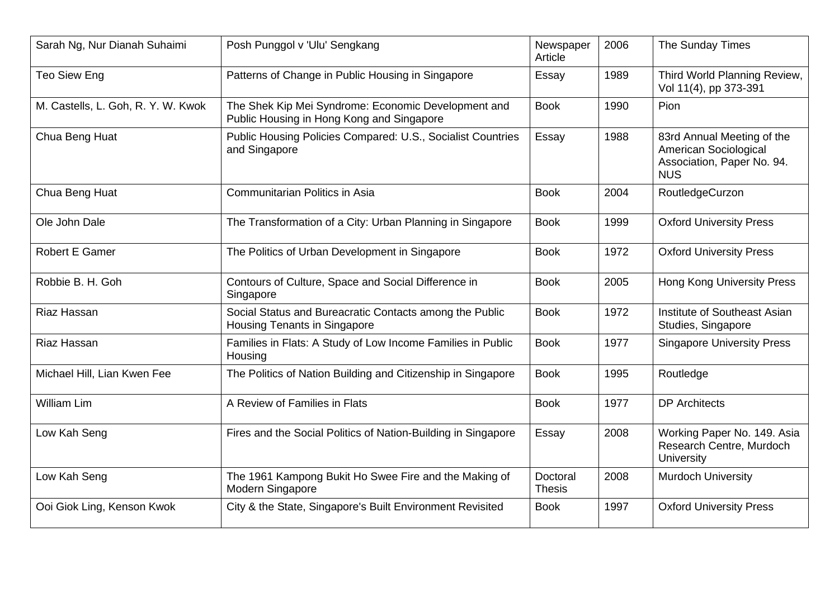| Sarah Ng, Nur Dianah Suhaimi       | Posh Punggol v 'Ulu' Sengkang                                                                    | Newspaper<br>Article      | 2006 | The Sunday Times                                                                                |
|------------------------------------|--------------------------------------------------------------------------------------------------|---------------------------|------|-------------------------------------------------------------------------------------------------|
| Teo Siew Eng                       | Patterns of Change in Public Housing in Singapore                                                | Essay                     | 1989 | Third World Planning Review,<br>Vol 11(4), pp 373-391                                           |
| M. Castells, L. Goh, R. Y. W. Kwok | The Shek Kip Mei Syndrome: Economic Development and<br>Public Housing in Hong Kong and Singapore | <b>Book</b>               | 1990 | Pion                                                                                            |
| Chua Beng Huat                     | Public Housing Policies Compared: U.S., Socialist Countries<br>and Singapore                     | Essay                     | 1988 | 83rd Annual Meeting of the<br>American Sociological<br>Association, Paper No. 94.<br><b>NUS</b> |
| Chua Beng Huat                     | Communitarian Politics in Asia                                                                   | <b>Book</b>               | 2004 | RoutledgeCurzon                                                                                 |
| Ole John Dale                      | The Transformation of a City: Urban Planning in Singapore                                        | <b>Book</b>               | 1999 | <b>Oxford University Press</b>                                                                  |
| <b>Robert E Gamer</b>              | The Politics of Urban Development in Singapore                                                   | <b>Book</b>               | 1972 | <b>Oxford University Press</b>                                                                  |
| Robbie B. H. Goh                   | Contours of Culture, Space and Social Difference in<br>Singapore                                 | <b>Book</b>               | 2005 | <b>Hong Kong University Press</b>                                                               |
| Riaz Hassan                        | Social Status and Bureacratic Contacts among the Public<br>Housing Tenants in Singapore          | <b>Book</b>               | 1972 | Institute of Southeast Asian<br>Studies, Singapore                                              |
| Riaz Hassan                        | Families in Flats: A Study of Low Income Families in Public<br>Housing                           | <b>Book</b>               | 1977 | <b>Singapore University Press</b>                                                               |
| Michael Hill, Lian Kwen Fee        | The Politics of Nation Building and Citizenship in Singapore                                     | <b>Book</b>               | 1995 | Routledge                                                                                       |
| William Lim                        | A Review of Families in Flats                                                                    | <b>Book</b>               | 1977 | <b>DP Architects</b>                                                                            |
| Low Kah Seng                       | Fires and the Social Politics of Nation-Building in Singapore                                    | Essay                     | 2008 | Working Paper No. 149. Asia<br>Research Centre, Murdoch<br>University                           |
| Low Kah Seng                       | The 1961 Kampong Bukit Ho Swee Fire and the Making of<br>Modern Singapore                        | Doctoral<br><b>Thesis</b> | 2008 | <b>Murdoch University</b>                                                                       |
| Ooi Giok Ling, Kenson Kwok         | City & the State, Singapore's Built Environment Revisited                                        | <b>Book</b>               | 1997 | <b>Oxford University Press</b>                                                                  |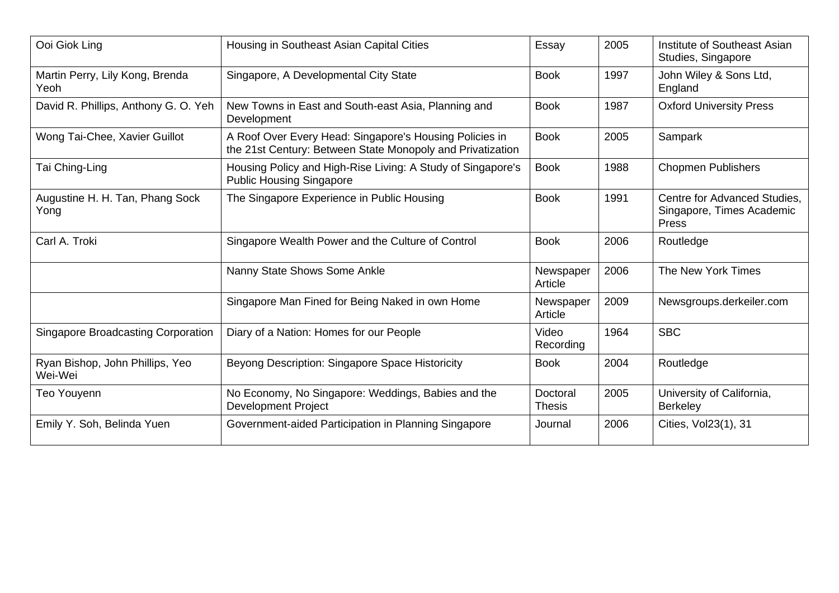| Ooi Giok Ling                              | Housing in Southeast Asian Capital Cities                                                                             | Essay                     | 2005 | Institute of Southeast Asian<br>Studies, Singapore                 |
|--------------------------------------------|-----------------------------------------------------------------------------------------------------------------------|---------------------------|------|--------------------------------------------------------------------|
| Martin Perry, Lily Kong, Brenda<br>Yeoh    | Singapore, A Developmental City State                                                                                 | <b>Book</b>               | 1997 | John Wiley & Sons Ltd,<br>England                                  |
| David R. Phillips, Anthony G. O. Yeh       | New Towns in East and South-east Asia, Planning and<br>Development                                                    | <b>Book</b>               | 1987 | <b>Oxford University Press</b>                                     |
| Wong Tai-Chee, Xavier Guillot              | A Roof Over Every Head: Singapore's Housing Policies in<br>the 21st Century: Between State Monopoly and Privatization | <b>Book</b>               | 2005 | Sampark                                                            |
| Tai Ching-Ling                             | Housing Policy and High-Rise Living: A Study of Singapore's<br><b>Public Housing Singapore</b>                        | <b>Book</b>               | 1988 | <b>Chopmen Publishers</b>                                          |
| Augustine H. H. Tan, Phang Sock<br>Yong    | The Singapore Experience in Public Housing                                                                            | <b>Book</b>               | 1991 | Centre for Advanced Studies,<br>Singapore, Times Academic<br>Press |
| Carl A. Troki                              | Singapore Wealth Power and the Culture of Control                                                                     | <b>Book</b>               | 2006 | Routledge                                                          |
|                                            | Nanny State Shows Some Ankle                                                                                          | Newspaper<br>Article      | 2006 | The New York Times                                                 |
|                                            | Singapore Man Fined for Being Naked in own Home                                                                       | Newspaper<br>Article      | 2009 | Newsgroups.derkeiler.com                                           |
| <b>Singapore Broadcasting Corporation</b>  | Diary of a Nation: Homes for our People                                                                               | Video<br>Recording        | 1964 | <b>SBC</b>                                                         |
| Ryan Bishop, John Phillips, Yeo<br>Wei-Wei | Beyong Description: Singapore Space Historicity                                                                       | <b>Book</b>               | 2004 | Routledge                                                          |
| Teo Youyenn                                | No Economy, No Singapore: Weddings, Babies and the<br><b>Development Project</b>                                      | Doctoral<br><b>Thesis</b> | 2005 | University of California,<br><b>Berkeley</b>                       |
| Emily Y. Soh, Belinda Yuen                 | Government-aided Participation in Planning Singapore                                                                  | Journal                   | 2006 | Cities, Vol23(1), 31                                               |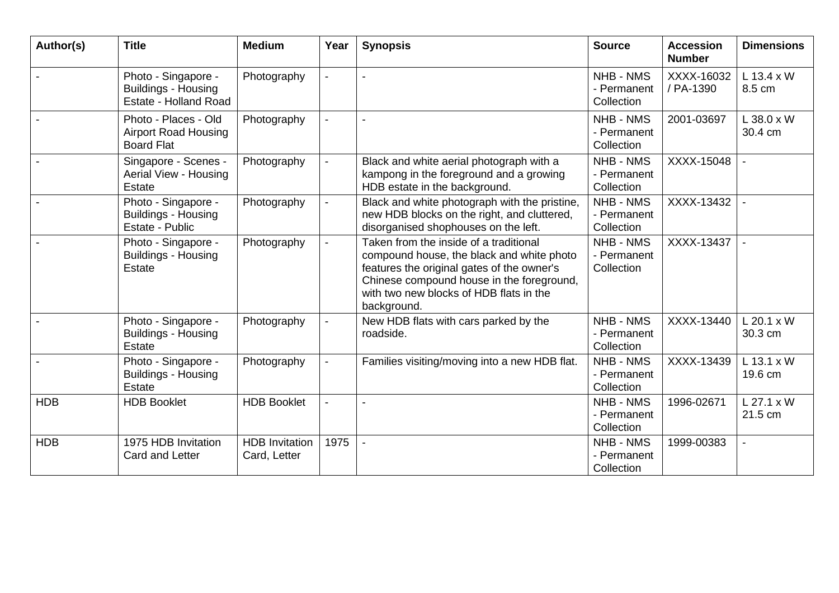| Author(s)  | <b>Title</b>                                                               | <b>Medium</b>                         | Year           | <b>Synopsis</b>                                                                                                                                                                                                                          | <b>Source</b>                                 | <b>Accession</b><br><b>Number</b> | <b>Dimensions</b>       |
|------------|----------------------------------------------------------------------------|---------------------------------------|----------------|------------------------------------------------------------------------------------------------------------------------------------------------------------------------------------------------------------------------------------------|-----------------------------------------------|-----------------------------------|-------------------------|
|            | Photo - Singapore -<br><b>Buildings - Housing</b><br>Estate - Holland Road | Photography                           |                |                                                                                                                                                                                                                                          | NHB - NMS<br>- Permanent<br>Collection        | XXXX-16032<br>/ PA-1390           | $L$ 13.4 x W<br>8.5 cm  |
|            | Photo - Places - Old<br><b>Airport Road Housing</b><br><b>Board Flat</b>   | Photography                           |                |                                                                                                                                                                                                                                          | NHB - NMS<br>- Permanent<br>Collection        | 2001-03697                        | $L$ 38.0 x W<br>30.4 cm |
|            | Singapore - Scenes -<br>Aerial View - Housing<br>Estate                    | Photography                           |                | Black and white aerial photograph with a<br>kampong in the foreground and a growing<br>HDB estate in the background.                                                                                                                     | NHB - NMS<br>- Permanent<br>Collection        | XXXX-15048                        |                         |
|            | Photo - Singapore -<br><b>Buildings - Housing</b><br>Estate - Public       | Photography                           |                | Black and white photograph with the pristine,<br>new HDB blocks on the right, and cluttered,<br>disorganised shophouses on the left.                                                                                                     | NHB - NMS<br>- Permanent<br>Collection        | XXXX-13432                        | $\overline{a}$          |
|            | Photo - Singapore -<br><b>Buildings - Housing</b><br><b>Estate</b>         | Photography                           |                | Taken from the inside of a traditional<br>compound house, the black and white photo<br>features the original gates of the owner's<br>Chinese compound house in the foreground,<br>with two new blocks of HDB flats in the<br>background. | <b>NHB - NMS</b><br>- Permanent<br>Collection | XXXX-13437                        |                         |
|            | Photo - Singapore -<br><b>Buildings - Housing</b><br>Estate                | Photography                           |                | New HDB flats with cars parked by the<br>roadside.                                                                                                                                                                                       | <b>NHB - NMS</b><br>- Permanent<br>Collection | XXXX-13440                        | $L$ 20.1 x W<br>30.3 cm |
|            | Photo - Singapore -<br><b>Buildings - Housing</b><br>Estate                | Photography                           |                | Families visiting/moving into a new HDB flat.                                                                                                                                                                                            | <b>NHB - NMS</b><br>- Permanent<br>Collection | XXXX-13439                        | $L$ 13.1 x W<br>19.6 cm |
| <b>HDB</b> | <b>HDB Booklet</b>                                                         | <b>HDB Booklet</b>                    | $\blacksquare$ |                                                                                                                                                                                                                                          | <b>NHB - NMS</b><br>- Permanent<br>Collection | 1996-02671                        | $L$ 27.1 x W<br>21.5 cm |
| <b>HDB</b> | 1975 HDB Invitation<br>Card and Letter                                     | <b>HDB</b> Invitation<br>Card, Letter | 1975           |                                                                                                                                                                                                                                          | <b>NHB - NMS</b><br>- Permanent<br>Collection | 1999-00383                        |                         |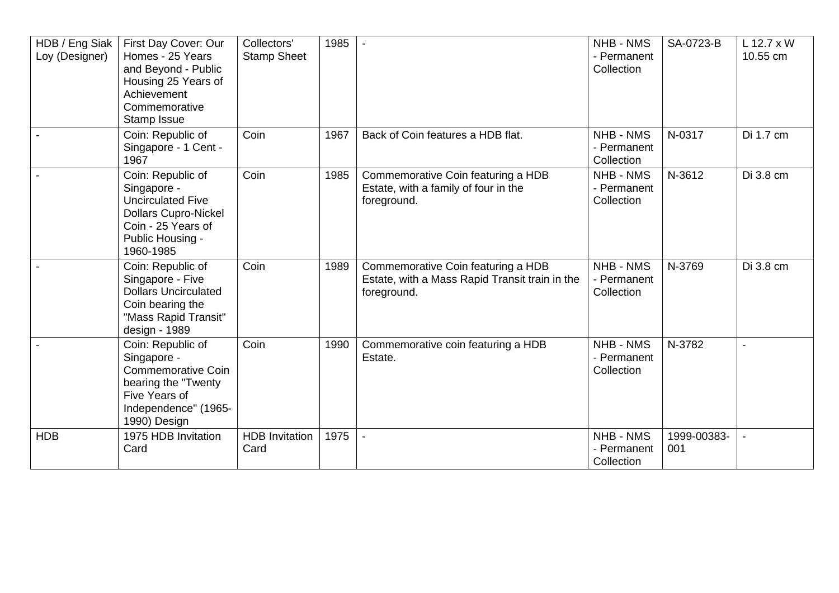| HDB / Eng Siak<br>Loy (Designer) | First Day Cover: Our<br>Homes - 25 Years<br>and Beyond - Public<br>Housing 25 Years of<br>Achievement<br>Commemorative<br>Stamp Issue              | Collectors'<br><b>Stamp Sheet</b> | 1985 |                                                                                                     | <b>NHB - NMS</b><br>- Permanent<br>Collection | SA-0723-B          | L 12.7 x W<br>10.55 cm |
|----------------------------------|----------------------------------------------------------------------------------------------------------------------------------------------------|-----------------------------------|------|-----------------------------------------------------------------------------------------------------|-----------------------------------------------|--------------------|------------------------|
|                                  | Coin: Republic of<br>Singapore - 1 Cent -<br>1967                                                                                                  | Coin                              | 1967 | Back of Coin features a HDB flat.                                                                   | <b>NHB - NMS</b><br>- Permanent<br>Collection | N-0317             | Di 1.7 cm              |
|                                  | Coin: Republic of<br>Singapore -<br><b>Uncirculated Five</b><br><b>Dollars Cupro-Nickel</b><br>Coin - 25 Years of<br>Public Housing -<br>1960-1985 | Coin                              | 1985 | Commemorative Coin featuring a HDB<br>Estate, with a family of four in the<br>foreground.           | <b>NHB - NMS</b><br>- Permanent<br>Collection | N-3612             | Di 3.8 cm              |
|                                  | Coin: Republic of<br>Singapore - Five<br><b>Dollars Uncirculated</b><br>Coin bearing the<br>"Mass Rapid Transit"<br>design - 1989                  | Coin                              | 1989 | Commemorative Coin featuring a HDB<br>Estate, with a Mass Rapid Transit train in the<br>foreground. | <b>NHB - NMS</b><br>- Permanent<br>Collection | N-3769             | Di 3.8 cm              |
|                                  | Coin: Republic of<br>Singapore -<br><b>Commemorative Coin</b><br>bearing the "Twenty<br>Five Years of<br>Independence" (1965-<br>1990) Design      | Coin                              | 1990 | Commemorative coin featuring a HDB<br>Estate.                                                       | <b>NHB - NMS</b><br>- Permanent<br>Collection | N-3782             |                        |
| <b>HDB</b>                       | 1975 HDB Invitation<br>Card                                                                                                                        | <b>HDB</b> Invitation<br>Card     | 1975 |                                                                                                     | <b>NHB - NMS</b><br>- Permanent<br>Collection | 1999-00383-<br>001 |                        |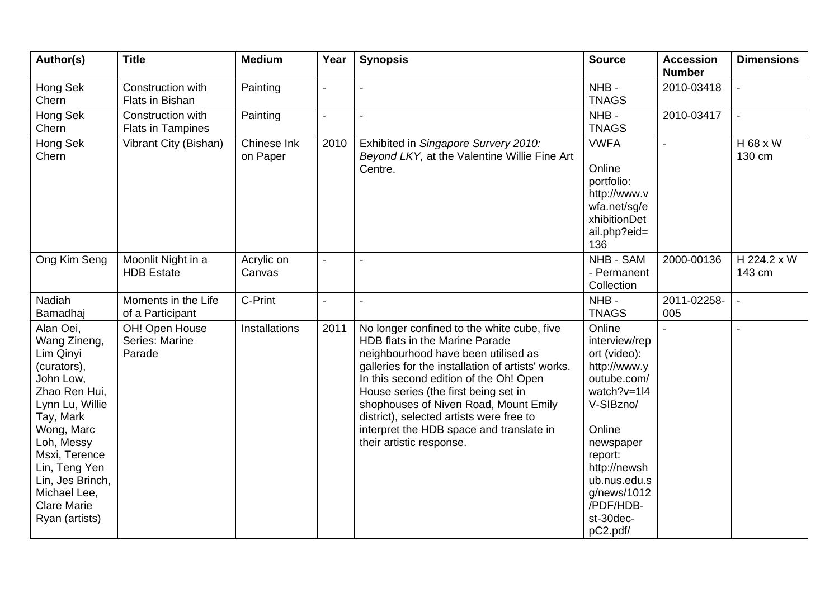| Author(s)                                                                                                                                                                                                                                                     | <b>Title</b>                                  | <b>Medium</b>           | Year           | <b>Synopsis</b>                                                                                                                                                                                                                                                                                                                                                                                                         | <b>Source</b>                                                                                                                                                                                                             | <b>Accession</b><br><b>Number</b> | <b>Dimensions</b>     |
|---------------------------------------------------------------------------------------------------------------------------------------------------------------------------------------------------------------------------------------------------------------|-----------------------------------------------|-------------------------|----------------|-------------------------------------------------------------------------------------------------------------------------------------------------------------------------------------------------------------------------------------------------------------------------------------------------------------------------------------------------------------------------------------------------------------------------|---------------------------------------------------------------------------------------------------------------------------------------------------------------------------------------------------------------------------|-----------------------------------|-----------------------|
| Hong Sek<br>Chern                                                                                                                                                                                                                                             | Construction with<br>Flats in Bishan          | Painting                | $\blacksquare$ | $\blacksquare$                                                                                                                                                                                                                                                                                                                                                                                                          | NHB-<br><b>TNAGS</b>                                                                                                                                                                                                      | 2010-03418                        |                       |
| Hong Sek<br>Chern                                                                                                                                                                                                                                             | Construction with<br><b>Flats in Tampines</b> | Painting                | $\blacksquare$ | $\overline{a}$                                                                                                                                                                                                                                                                                                                                                                                                          | NHB-<br><b>TNAGS</b>                                                                                                                                                                                                      | 2010-03417                        |                       |
| Hong Sek<br>Chern                                                                                                                                                                                                                                             | Vibrant City (Bishan)                         | Chinese Ink<br>on Paper | 2010           | Exhibited in Singapore Survery 2010:<br>Beyond LKY, at the Valentine Willie Fine Art<br>Centre.                                                                                                                                                                                                                                                                                                                         | <b>VWFA</b><br>Online<br>portfolio:<br>http://www.v<br>wfa.net/sg/e<br>xhibitionDet<br>ail.php?eid=<br>136                                                                                                                |                                   | H 68 x W<br>130 cm    |
| Ong Kim Seng                                                                                                                                                                                                                                                  | Moonlit Night in a<br><b>HDB</b> Estate       | Acrylic on<br>Canvas    | $\blacksquare$ |                                                                                                                                                                                                                                                                                                                                                                                                                         | <b>NHB - SAM</b><br>- Permanent<br>Collection                                                                                                                                                                             | 2000-00136                        | H 224.2 x W<br>143 cm |
| Nadiah<br>Bamadhaj                                                                                                                                                                                                                                            | Moments in the Life<br>of a Participant       | C-Print                 | $\blacksquare$ | $\blacksquare$                                                                                                                                                                                                                                                                                                                                                                                                          | NHB-<br><b>TNAGS</b>                                                                                                                                                                                                      | 2011-02258-<br>005                |                       |
| Alan Oei,<br>Wang Zineng,<br>Lim Qinyi<br>(curators),<br>John Low,<br>Zhao Ren Hui,<br>Lynn Lu, Willie<br>Tay, Mark<br>Wong, Marc<br>Loh, Messy<br>Msxi, Terence<br>Lin, Teng Yen<br>Lin, Jes Brinch,<br>Michael Lee,<br><b>Clare Marie</b><br>Ryan (artists) | OH! Open House<br>Series: Marine<br>Parade    | <b>Installations</b>    | 2011           | No longer confined to the white cube, five<br>HDB flats in the Marine Parade<br>neighbourhood have been utilised as<br>galleries for the installation of artists' works.<br>In this second edition of the Oh! Open<br>House series (the first being set in<br>shophouses of Niven Road, Mount Emily<br>district), selected artists were free to<br>interpret the HDB space and translate in<br>their artistic response. | Online<br>interview/rep<br>ort (video):<br>http://www.y<br>outube.com/<br>watch?v=1l4<br>V-SIBzno/<br>Online<br>newspaper<br>report:<br>http://newsh<br>ub.nus.edu.s<br>g/news/1012<br>/PDF/HDB-<br>st-30dec-<br>pC2.pdf/ |                                   | $\blacksquare$        |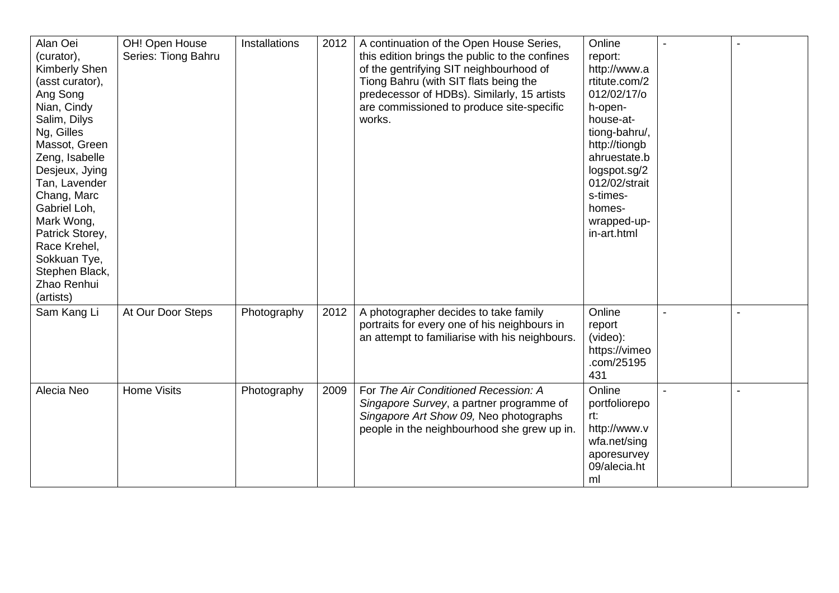| Alan Oei<br>(curator),<br>Kimberly Shen<br>(asst curator),<br>Ang Song<br>Nian, Cindy<br>Salim, Dilys<br>Ng, Gilles<br>Massot, Green<br>Zeng, Isabelle<br>Desjeux, Jying<br>Tan, Lavender<br>Chang, Marc<br>Gabriel Loh,<br>Mark Wong,<br>Patrick Storey,<br>Race Krehel,<br>Sokkuan Tye, | OH! Open House<br>Series: Tiong Bahru | Installations | 2012 | A continuation of the Open House Series,<br>this edition brings the public to the confines<br>of the gentrifying SIT neighbourhood of<br>Tiong Bahru (with SIT flats being the<br>predecessor of HDBs). Similarly, 15 artists<br>are commissioned to produce site-specific<br>works. | Online<br>report:<br>http://www.a<br>rtitute.com/2<br>012/02/17/o<br>h-open-<br>house-at-<br>tiong-bahru/,<br>http://tiongb<br>ahruestate.b<br>logspot.sg/2<br>012/02/strait<br>s-times-<br>homes-<br>wrapped-up-<br>in-art.html |  |
|-------------------------------------------------------------------------------------------------------------------------------------------------------------------------------------------------------------------------------------------------------------------------------------------|---------------------------------------|---------------|------|--------------------------------------------------------------------------------------------------------------------------------------------------------------------------------------------------------------------------------------------------------------------------------------|----------------------------------------------------------------------------------------------------------------------------------------------------------------------------------------------------------------------------------|--|
| Stephen Black,<br>Zhao Renhui<br>(artists)<br>Sam Kang Li                                                                                                                                                                                                                                 | At Our Door Steps                     | Photography   | 2012 | A photographer decides to take family<br>portraits for every one of his neighbours in<br>an attempt to familiarise with his neighbours.                                                                                                                                              | Online<br>report<br>(video):<br>https://vimeo<br>.com/25195<br>431                                                                                                                                                               |  |
| Alecia Neo                                                                                                                                                                                                                                                                                | <b>Home Visits</b>                    | Photography   | 2009 | For The Air Conditioned Recession: A<br>Singapore Survey, a partner programme of<br>Singapore Art Show 09, Neo photographs<br>people in the neighbourhood she grew up in.                                                                                                            | Online<br>portfoliorepo<br>rt:<br>http://www.v<br>wfa.net/sing<br>aporesurvey<br>09/alecia.ht<br>ml                                                                                                                              |  |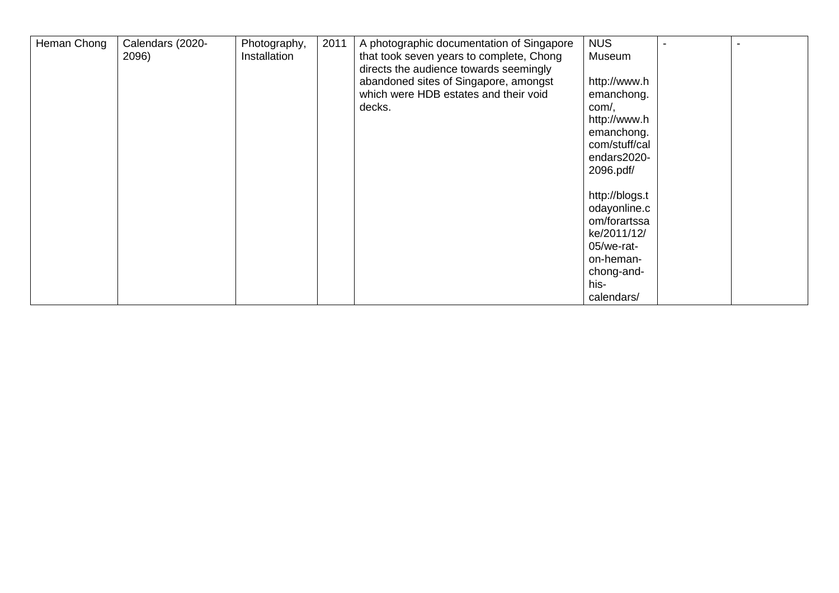| Heman Chong | Calendars (2020-<br>2096) | Photography,<br>Installation | 2011 | A photographic documentation of Singapore<br>that took seven years to complete, Chong<br>directs the audience towards seemingly | <b>NUS</b><br>Museum                                                                                                         |  |
|-------------|---------------------------|------------------------------|------|---------------------------------------------------------------------------------------------------------------------------------|------------------------------------------------------------------------------------------------------------------------------|--|
|             |                           |                              |      | abandoned sites of Singapore, amongst<br>which were HDB estates and their void<br>decks.                                        | http://www.h<br>emanchong.<br>com/,<br>http://www.h<br>emanchong.<br>com/stuff/cal<br>endars2020-<br>2096.pdf/               |  |
|             |                           |                              |      |                                                                                                                                 | http://blogs.t<br>odayonline.c<br>om/forartssa<br>ke/2011/12/<br>05/we-rat-<br>on-heman-<br>chong-and-<br>his-<br>calendars/ |  |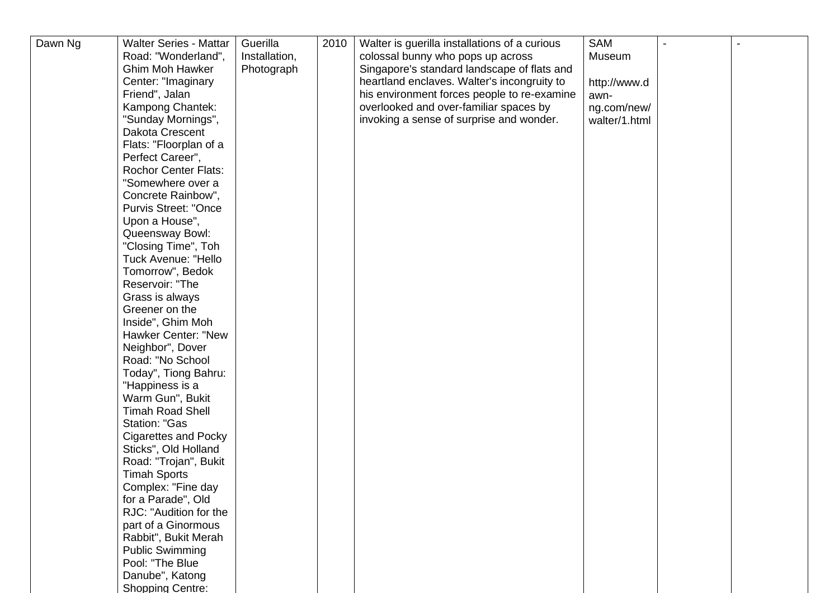| Dawn Ng | <b>Walter Series - Mattar</b> | Guerilla      | 2010 | Walter is guerilla installations of a curious | <b>SAM</b>    |  |
|---------|-------------------------------|---------------|------|-----------------------------------------------|---------------|--|
|         | Road: "Wonderland",           | Installation, |      | colossal bunny who pops up across             | Museum        |  |
|         | <b>Ghim Moh Hawker</b>        | Photograph    |      | Singapore's standard landscape of flats and   |               |  |
|         | Center: "Imaginary            |               |      | heartland enclaves. Walter's incongruity to   | http://www.d  |  |
|         | Friend", Jalan                |               |      | his environment forces people to re-examine   | awn-          |  |
|         | Kampong Chantek:              |               |      | overlooked and over-familiar spaces by        | ng.com/new/   |  |
|         | "Sunday Mornings",            |               |      | invoking a sense of surprise and wonder.      | walter/1.html |  |
|         | Dakota Crescent               |               |      |                                               |               |  |
|         | Flats: "Floorplan of a        |               |      |                                               |               |  |
|         | Perfect Career",              |               |      |                                               |               |  |
|         | <b>Rochor Center Flats:</b>   |               |      |                                               |               |  |
|         | "Somewhere over a             |               |      |                                               |               |  |
|         | Concrete Rainbow",            |               |      |                                               |               |  |
|         | <b>Purvis Street: "Once</b>   |               |      |                                               |               |  |
|         | Upon a House",                |               |      |                                               |               |  |
|         | Queensway Bowl:               |               |      |                                               |               |  |
|         | "Closing Time", Toh           |               |      |                                               |               |  |
|         | <b>Tuck Avenue: "Hello</b>    |               |      |                                               |               |  |
|         | Tomorrow", Bedok              |               |      |                                               |               |  |
|         | Reservoir: "The               |               |      |                                               |               |  |
|         | Grass is always               |               |      |                                               |               |  |
|         | Greener on the                |               |      |                                               |               |  |
|         | Inside", Ghim Moh             |               |      |                                               |               |  |
|         | <b>Hawker Center: "New</b>    |               |      |                                               |               |  |
|         | Neighbor", Dover              |               |      |                                               |               |  |
|         | Road: "No School              |               |      |                                               |               |  |
|         | Today", Tiong Bahru:          |               |      |                                               |               |  |
|         | "Happiness is a               |               |      |                                               |               |  |
|         | Warm Gun", Bukit              |               |      |                                               |               |  |
|         | <b>Timah Road Shell</b>       |               |      |                                               |               |  |
|         | <b>Station: "Gas</b>          |               |      |                                               |               |  |
|         | <b>Cigarettes and Pocky</b>   |               |      |                                               |               |  |
|         | Sticks", Old Holland          |               |      |                                               |               |  |
|         | Road: "Trojan", Bukit         |               |      |                                               |               |  |
|         | <b>Timah Sports</b>           |               |      |                                               |               |  |
|         | Complex: "Fine day            |               |      |                                               |               |  |
|         | for a Parade", Old            |               |      |                                               |               |  |
|         | RJC: "Audition for the        |               |      |                                               |               |  |
|         | part of a Ginormous           |               |      |                                               |               |  |
|         | Rabbit", Bukit Merah          |               |      |                                               |               |  |
|         | <b>Public Swimming</b>        |               |      |                                               |               |  |
|         | Pool: "The Blue               |               |      |                                               |               |  |
|         | Danube", Katong               |               |      |                                               |               |  |
|         | <b>Shopping Centre:</b>       |               |      |                                               |               |  |
|         |                               |               |      |                                               |               |  |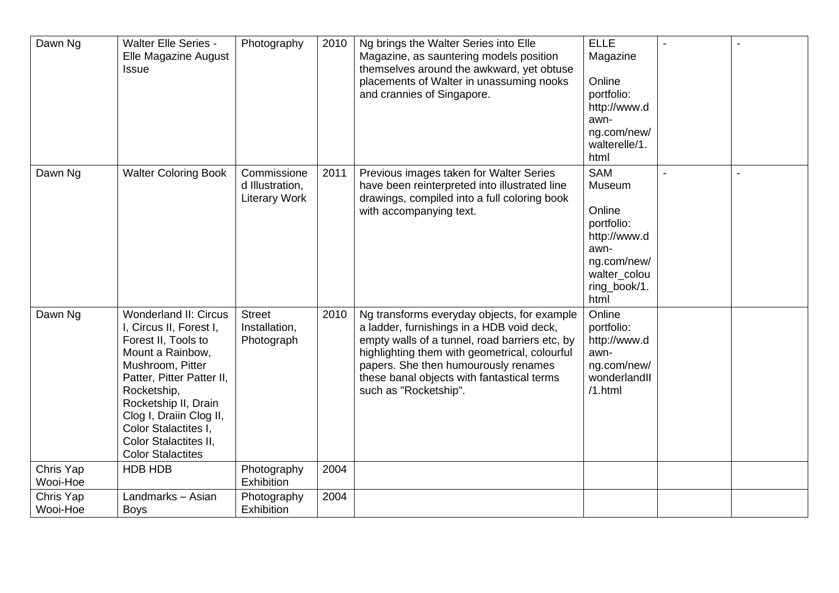| Dawn Ng               | <b>Walter Elle Series -</b><br>Elle Magazine August<br>Issue                                                                                                                                                                                                                                       | Photography                                            | 2010 | Ng brings the Walter Series into Elle<br>Magazine, as sauntering models position<br>themselves around the awkward, yet obtuse<br>placements of Walter in unassuming nooks<br>and crannies of Singapore.                                                                                                    | <b>ELLE</b><br>Magazine<br>Online<br>portfolio:<br>http://www.d<br>awn-<br>ng.com/new/<br>walterelle/1.<br>html             |  |
|-----------------------|----------------------------------------------------------------------------------------------------------------------------------------------------------------------------------------------------------------------------------------------------------------------------------------------------|--------------------------------------------------------|------|------------------------------------------------------------------------------------------------------------------------------------------------------------------------------------------------------------------------------------------------------------------------------------------------------------|-----------------------------------------------------------------------------------------------------------------------------|--|
| Dawn Ng               | <b>Walter Coloring Book</b>                                                                                                                                                                                                                                                                        | Commissione<br>d Illustration,<br><b>Literary Work</b> | 2011 | Previous images taken for Walter Series<br>have been reinterpreted into illustrated line<br>drawings, compiled into a full coloring book<br>with accompanying text.                                                                                                                                        | <b>SAM</b><br>Museum<br>Online<br>portfolio:<br>http://www.d<br>awn-<br>ng.com/new/<br>walter_colou<br>ring_book/1.<br>html |  |
| Dawn Ng               | <b>Wonderland II: Circus</b><br>I, Circus II, Forest I,<br>Forest II, Tools to<br>Mount a Rainbow,<br>Mushroom, Pitter<br>Patter, Pitter Patter II,<br>Rocketship,<br>Rocketship II, Drain<br>Clog I, Draiin Clog II,<br>Color Stalactites I,<br>Color Stalactites II,<br><b>Color Stalactites</b> | <b>Street</b><br>Installation,<br>Photograph           | 2010 | Ng transforms everyday objects, for example<br>a ladder, furnishings in a HDB void deck,<br>empty walls of a tunnel, road barriers etc, by<br>highlighting them with geometrical, colourful<br>papers. She then humourously renames<br>these banal objects with fantastical terms<br>such as "Rocketship". | Online<br>portfolio:<br>http://www.d<br>awn-<br>ng.com/new/<br>wonderlandll<br>/1.html                                      |  |
| Chris Yap<br>Wooi-Hoe | HDB HDB                                                                                                                                                                                                                                                                                            | Photography<br><b>Exhibition</b>                       | 2004 |                                                                                                                                                                                                                                                                                                            |                                                                                                                             |  |
| Chris Yap<br>Wooi-Hoe | Landmarks - Asian<br><b>Boys</b>                                                                                                                                                                                                                                                                   | Photography<br>Exhibition                              | 2004 |                                                                                                                                                                                                                                                                                                            |                                                                                                                             |  |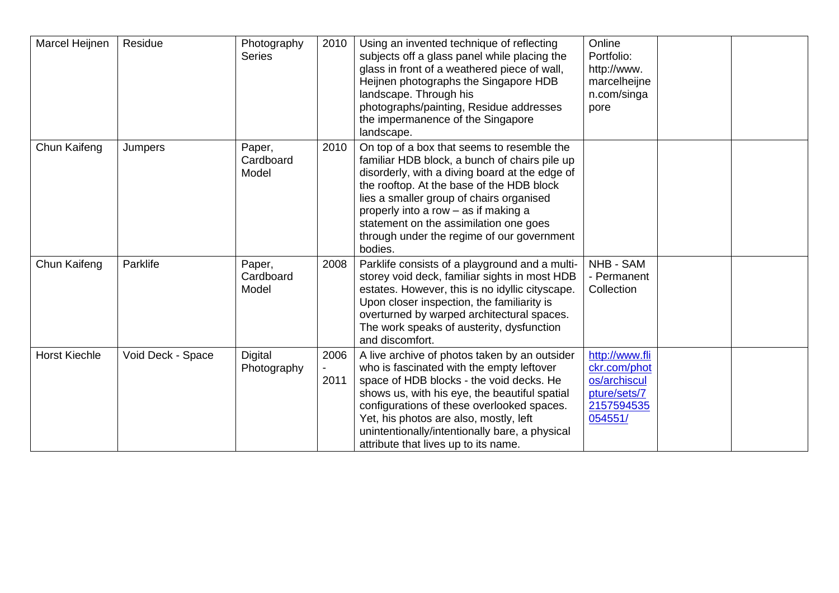| Marcel Heijnen       | Residue           | Photography<br><b>Series</b> | 2010         | Using an invented technique of reflecting<br>subjects off a glass panel while placing the<br>glass in front of a weathered piece of wall,<br>Heijnen photographs the Singapore HDB<br>landscape. Through his<br>photographs/painting, Residue addresses<br>the impermanence of the Singapore<br>landscape.                                                                        | Online<br>Portfolio:<br>http://www.<br>marcelheijne<br>n.com/singa<br>pore              |  |
|----------------------|-------------------|------------------------------|--------------|-----------------------------------------------------------------------------------------------------------------------------------------------------------------------------------------------------------------------------------------------------------------------------------------------------------------------------------------------------------------------------------|-----------------------------------------------------------------------------------------|--|
| Chun Kaifeng         | Jumpers           | Paper,<br>Cardboard<br>Model | 2010         | On top of a box that seems to resemble the<br>familiar HDB block, a bunch of chairs pile up<br>disorderly, with a diving board at the edge of<br>the rooftop. At the base of the HDB block<br>lies a smaller group of chairs organised<br>properly into a row - as if making a<br>statement on the assimilation one goes<br>through under the regime of our government<br>bodies. |                                                                                         |  |
| Chun Kaifeng         | Parklife          | Paper,<br>Cardboard<br>Model | 2008         | Parklife consists of a playground and a multi-<br>storey void deck, familiar sights in most HDB<br>estates. However, this is no idyllic cityscape.<br>Upon closer inspection, the familiarity is<br>overturned by warped architectural spaces.<br>The work speaks of austerity, dysfunction<br>and discomfort.                                                                    | NHB - SAM<br>- Permanent<br>Collection                                                  |  |
| <b>Horst Kiechle</b> | Void Deck - Space | Digital<br>Photography       | 2006<br>2011 | A live archive of photos taken by an outsider<br>who is fascinated with the empty leftover<br>space of HDB blocks - the void decks. He<br>shows us, with his eye, the beautiful spatial<br>configurations of these overlooked spaces.<br>Yet, his photos are also, mostly, left<br>unintentionally/intentionally bare, a physical<br>attribute that lives up to its name.         | http://www.fli<br>ckr.com/phot<br>os/archiscul<br>pture/sets/7<br>2157594535<br>054551/ |  |